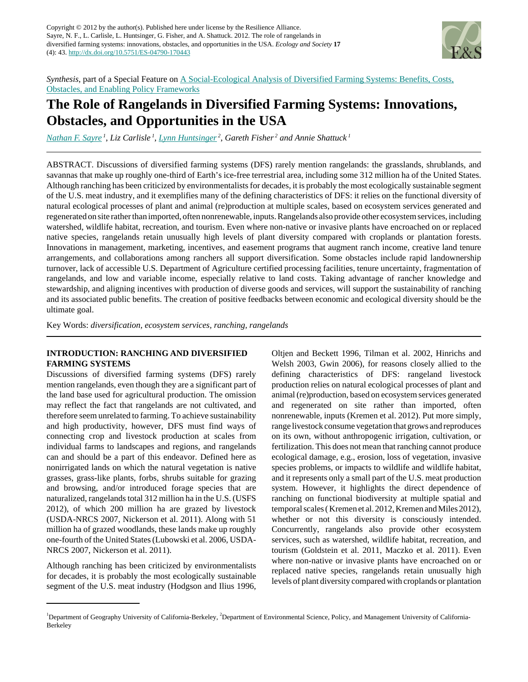

*Synthesis*, part of a Special Feature on [A Social-Ecological Analysis of Diversified Farming Systems: Benefits, Costs,](http://www.ecologyandsociety.org/viewissue.php?sf=71) [Obstacles, and Enabling Policy Frameworks](http://www.ecologyandsociety.org/viewissue.php?sf=71)

# **The Role of Rangelands in Diversified Farming Systems: Innovations, Obstacles, and Opportunities in the USA**

*[Nathan F. Sayre](mailto:nsayre@berkeley.edu)<sup>1</sup>* , *Liz Carlisle<sup>1</sup>* , *[Lynn Huntsinger](mailto:huntsinger@berkeley.edu)<sup>2</sup>* , *Gareth Fisher<sup>2</sup> and Annie Shattuck<sup>1</sup>*

ABSTRACT. Discussions of diversified farming systems (DFS) rarely mention rangelands: the grasslands, shrublands, and savannas that make up roughly one-third of Earth's ice-free terrestrial area, including some 312 million ha of the United States. Although ranching has been criticized by environmentalists for decades, it is probably the most ecologically sustainable segment of the U.S. meat industry, and it exemplifies many of the defining characteristics of DFS: it relies on the functional diversity of natural ecological processes of plant and animal (re)production at multiple scales, based on ecosystem services generated and regenerated on site rather than imported, often nonrenewable, inputs. Rangelands also provide other ecosystem services, including watershed, wildlife habitat, recreation, and tourism. Even where non-native or invasive plants have encroached on or replaced native species, rangelands retain unusually high levels of plant diversity compared with croplands or plantation forests. Innovations in management, marketing, incentives, and easement programs that augment ranch income, creative land tenure arrangements, and collaborations among ranchers all support diversification. Some obstacles include rapid landownership turnover, lack of accessible U.S. Department of Agriculture certified processing facilities, tenure uncertainty, fragmentation of rangelands, and low and variable income, especially relative to land costs. Taking advantage of rancher knowledge and stewardship, and aligning incentives with production of diverse goods and services, will support the sustainability of ranching and its associated public benefits. The creation of positive feedbacks between economic and ecological diversity should be the ultimate goal.

Key Words: *diversification, ecosystem services, ranching, rangelands*

# **INTRODUCTION: RANCHING AND DIVERSIFIED FARMING SYSTEMS**

Discussions of diversified farming systems (DFS) rarely mention rangelands, even though they are a significant part of the land base used for agricultural production. The omission may reflect the fact that rangelands are not cultivated, and therefore seem unrelated to farming. To achieve sustainability and high productivity, however, DFS must find ways of connecting crop and livestock production at scales from individual farms to landscapes and regions, and rangelands can and should be a part of this endeavor. Defined here as nonirrigated lands on which the natural vegetation is native grasses, grass-like plants, forbs, shrubs suitable for grazing and browsing, and/or introduced forage species that are naturalized, rangelands total 312 million ha in the U.S. (USFS 2012), of which 200 million ha are grazed by livestock (USDA-NRCS 2007, Nickerson et al. 2011). Along with 51 million ha of grazed woodlands, these lands make up roughly one-fourth of the United States (Lubowski et al. 2006, USDA-NRCS 2007, Nickerson et al. 2011).

Although ranching has been criticized by environmentalists for decades, it is probably the most ecologically sustainable segment of the U.S. meat industry (Hodgson and Ilius 1996, Oltjen and Beckett 1996, Tilman et al. 2002, Hinrichs and Welsh 2003, Gwin 2006), for reasons closely allied to the defining characteristics of DFS: rangeland livestock production relies on natural ecological processes of plant and animal (re)production, based on ecosystem services generated and regenerated on site rather than imported, often nonrenewable, inputs (Kremen et al. 2012). Put more simply, range livestock consume vegetation that grows and reproduces on its own, without anthropogenic irrigation, cultivation, or fertilization. This does not mean that ranching cannot produce ecological damage, e.g., erosion, loss of vegetation, invasive species problems, or impacts to wildlife and wildlife habitat, and it represents only a small part of the U.S. meat production system. However, it highlights the direct dependence of ranching on functional biodiversity at multiple spatial and temporal scales ( Kremen et al. 2012, Kremen and Miles 2012), whether or not this diversity is consciously intended. Concurrently, rangelands also provide other ecosystem services, such as watershed, wildlife habitat, recreation, and tourism (Goldstein et al. 2011, Maczko et al. 2011). Even where non-native or invasive plants have encroached on or replaced native species, rangelands retain unusually high levels of plant diversity compared with croplands or plantation

<sup>&</sup>lt;sup>1</sup>Department of Geography University of California-Berkeley, <sup>2</sup>Department of Environmental Science, Policy, and Management University of California-Berkeley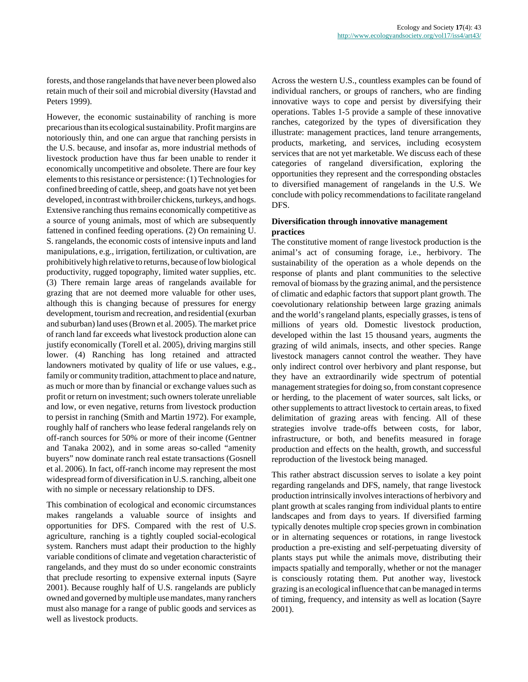forests, and those rangelands that have never been plowed also retain much of their soil and microbial diversity (Havstad and Peters 1999).

However, the economic sustainability of ranching is more precarious than its ecological sustainability. Profit margins are notoriously thin, and one can argue that ranching persists in the U.S. because, and insofar as, more industrial methods of livestock production have thus far been unable to render it economically uncompetitive and obsolete. There are four key elements to this resistance or persistence: (1) Technologies for confined breeding of cattle, sheep, and goats have not yet been developed, in contrast with broiler chickens, turkeys, and hogs. Extensive ranching thus remains economically competitive as a source of young animals, most of which are subsequently fattened in confined feeding operations. (2) On remaining U. S. rangelands, the economic costs of intensive inputs and land manipulations, e.g., irrigation, fertilization, or cultivation, are prohibitively high relative to returns, because of low biological productivity, rugged topography, limited water supplies, etc. (3) There remain large areas of rangelands available for grazing that are not deemed more valuable for other uses, although this is changing because of pressures for energy development, tourism and recreation, and residential (exurban and suburban) land uses (Brown et al. 2005). The market price of ranch land far exceeds what livestock production alone can justify economically (Torell et al. 2005), driving margins still lower. (4) Ranching has long retained and attracted landowners motivated by quality of life or use values, e.g., family or community tradition, attachment to place and nature, as much or more than by financial or exchange values such as profit or return on investment; such owners tolerate unreliable and low, or even negative, returns from livestock production to persist in ranching (Smith and Martin 1972). For example, roughly half of ranchers who lease federal rangelands rely on off-ranch sources for 50% or more of their income (Gentner and Tanaka 2002), and in some areas so-called "amenity buyers" now dominate ranch real estate transactions (Gosnell et al. 2006). In fact, off-ranch income may represent the most widespread form of diversification in U.S. ranching, albeit one with no simple or necessary relationship to DFS.

This combination of ecological and economic circumstances makes rangelands a valuable source of insights and opportunities for DFS. Compared with the rest of U.S. agriculture, ranching is a tightly coupled social-ecological system. Ranchers must adapt their production to the highly variable conditions of climate and vegetation characteristic of rangelands, and they must do so under economic constraints that preclude resorting to expensive external inputs (Sayre 2001). Because roughly half of U.S. rangelands are publicly owned and governed by multiple use mandates, many ranchers must also manage for a range of public goods and services as well as livestock products.

Across the western U.S., countless examples can be found of individual ranchers, or groups of ranchers, who are finding innovative ways to cope and persist by diversifying their operations. Tables 1-5 provide a sample of these innovative ranches, categorized by the types of diversification they illustrate: management practices, land tenure arrangements, products, marketing, and services, including ecosystem services that are not yet marketable. We discuss each of these categories of rangeland diversification, exploring the opportunities they represent and the corresponding obstacles to diversified management of rangelands in the U.S. We conclude with policy recommendations to facilitate rangeland DFS.

## **Diversification through innovative management practices**

The constitutive moment of range livestock production is the animal's act of consuming forage, i.e., herbivory. The sustainability of the operation as a whole depends on the response of plants and plant communities to the selective removal of biomass by the grazing animal, and the persistence of climatic and edaphic factors that support plant growth. The coevolutionary relationship between large grazing animals and the world's rangeland plants, especially grasses, is tens of millions of years old. Domestic livestock production, developed within the last 15 thousand years, augments the grazing of wild animals, insects, and other species. Range livestock managers cannot control the weather. They have only indirect control over herbivory and plant response, but they have an extraordinarily wide spectrum of potential management strategies for doing so, from constant copresence or herding, to the placement of water sources, salt licks, or other supplements to attract livestock to certain areas, to fixed delimitation of grazing areas with fencing. All of these strategies involve trade-offs between costs, for labor, infrastructure, or both, and benefits measured in forage production and effects on the health, growth, and successful reproduction of the livestock being managed.

This rather abstract discussion serves to isolate a key point regarding rangelands and DFS, namely, that range livestock production intrinsically involves interactions of herbivory and plant growth at scales ranging from individual plants to entire landscapes and from days to years. If diversified farming typically denotes multiple crop species grown in combination or in alternating sequences or rotations, in range livestock production a pre-existing and self-perpetuating diversity of plants stays put while the animals move, distributing their impacts spatially and temporally, whether or not the manager is consciously rotating them. Put another way, livestock grazing is an ecological influence that can be managed in terms of timing, frequency, and intensity as well as location (Sayre 2001).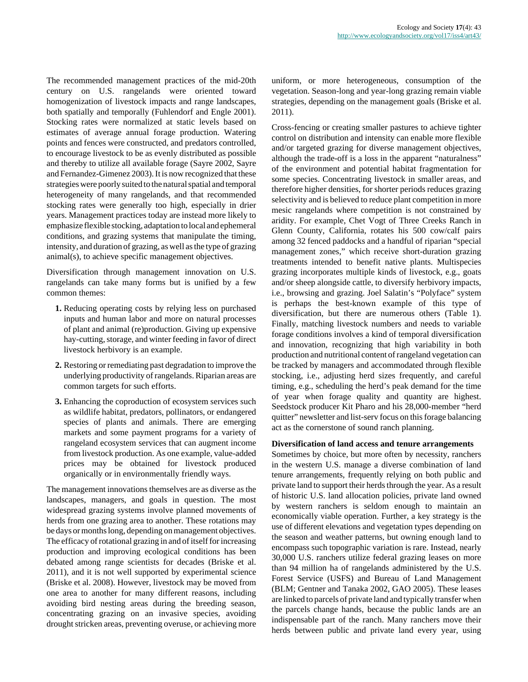The recommended management practices of the mid-20th century on U.S. rangelands were oriented toward homogenization of livestock impacts and range landscapes, both spatially and temporally (Fuhlendorf and Engle 2001). Stocking rates were normalized at static levels based on estimates of average annual forage production. Watering points and fences were constructed, and predators controlled, to encourage livestock to be as evenly distributed as possible and thereby to utilize all available forage (Sayre 2002, Sayre and Fernandez-Gimenez 2003). It is now recognized that these strategies were poorly suited to the natural spatial and temporal heterogeneity of many rangelands, and that recommended stocking rates were generally too high, especially in drier years. Management practices today are instead more likely to emphasize flexible stocking, adaptation to local and ephemeral conditions, and grazing systems that manipulate the timing, intensity, and duration of grazing, as well as the type of grazing animal(s), to achieve specific management objectives.

Diversification through management innovation on U.S. rangelands can take many forms but is unified by a few common themes:

- **1.** Reducing operating costs by relying less on purchased inputs and human labor and more on natural processes of plant and animal (re)production. Giving up expensive hay-cutting, storage, and winter feeding in favor of direct livestock herbivory is an example.
- **2.** Restoring or remediating past degradation to improve the underlying productivity of rangelands. Riparian areas are common targets for such efforts.
- **3.** Enhancing the coproduction of ecosystem services such as wildlife habitat, predators, pollinators, or endangered species of plants and animals. There are emerging markets and some payment programs for a variety of rangeland ecosystem services that can augment income from livestock production. As one example, value-added prices may be obtained for livestock produced organically or in environmentally friendly ways.

The management innovations themselves are as diverse as the landscapes, managers, and goals in question. The most widespread grazing systems involve planned movements of herds from one grazing area to another. These rotations may be days or months long, depending on management objectives. The efficacy of rotational grazing in and of itself for increasing production and improving ecological conditions has been debated among range scientists for decades (Briske et al. 2011), and it is not well supported by experimental science (Briske et al. 2008). However, livestock may be moved from one area to another for many different reasons, including avoiding bird nesting areas during the breeding season, concentrating grazing on an invasive species, avoiding drought stricken areas, preventing overuse, or achieving more uniform, or more heterogeneous, consumption of the vegetation. Season-long and year-long grazing remain viable strategies, depending on the management goals (Briske et al. 2011).

Cross-fencing or creating smaller pastures to achieve tighter control on distribution and intensity can enable more flexible and/or targeted grazing for diverse management objectives, although the trade-off is a loss in the apparent "naturalness" of the environment and potential habitat fragmentation for some species. Concentrating livestock in smaller areas, and therefore higher densities, for shorter periods reduces grazing selectivity and is believed to reduce plant competition in more mesic rangelands where competition is not constrained by aridity. For example, Chet Vogt of Three Creeks Ranch in Glenn County, California, rotates his 500 cow/calf pairs among 32 fenced paddocks and a handful of riparian "special management zones," which receive short-duration grazing treatments intended to benefit native plants. Multispecies grazing incorporates multiple kinds of livestock, e.g., goats and/or sheep alongside cattle, to diversify herbivory impacts, i.e., browsing and grazing. Joel Salatin's "Polyface" system is perhaps the best-known example of this type of diversification, but there are numerous others (Table 1). Finally, matching livestock numbers and needs to variable forage conditions involves a kind of temporal diversification and innovation, recognizing that high variability in both production and nutritional content of rangeland vegetation can be tracked by managers and accommodated through flexible stocking, i.e., adjusting herd sizes frequently, and careful timing, e.g., scheduling the herd's peak demand for the time of year when forage quality and quantity are highest. Seedstock producer Kit Pharo and his 28,000-member "herd quitter" newsletter and list-serv focus on this forage balancing act as the cornerstone of sound ranch planning.

#### **Diversification of land access and tenure arrangements**

Sometimes by choice, but more often by necessity, ranchers in the western U.S. manage a diverse combination of land tenure arrangements, frequently relying on both public and private land to support their herds through the year. As a result of historic U.S. land allocation policies, private land owned by western ranchers is seldom enough to maintain an economically viable operation. Further, a key strategy is the use of different elevations and vegetation types depending on the season and weather patterns, but owning enough land to encompass such topographic variation is rare. Instead, nearly 30,000 U.S. ranchers utilize federal grazing leases on more than 94 million ha of rangelands administered by the U.S. Forest Service (USFS) and Bureau of Land Management (BLM; Gentner and Tanaka 2002, GAO 2005). These leases are linked to parcels of private land and typically transfer when the parcels change hands, because the public lands are an indispensable part of the ranch. Many ranchers move their herds between public and private land every year, using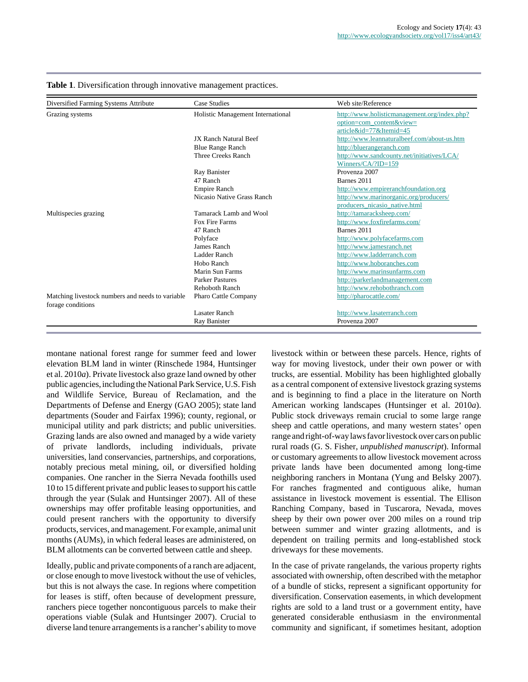| Diversified Farming Systems Attribute                                 | <b>Case Studies</b>               | Web site/Reference                           |
|-----------------------------------------------------------------------|-----------------------------------|----------------------------------------------|
| Grazing systems                                                       | Holistic Management International | http://www.holisticmanagement.org/index.php? |
|                                                                       |                                   | option=com_content&view=                     |
|                                                                       |                                   | article&id=77&Itemid=45                      |
|                                                                       | <b>IX Ranch Natural Beef</b>      | http://www.leannaturalbeef.com/about-us.htm  |
|                                                                       | <b>Blue Range Ranch</b>           | http://bluerangeranch.com                    |
|                                                                       | Three Creeks Ranch                | http://www.sandcounty.net/initiatives/LCA/   |
|                                                                       |                                   | Winners/ $CA$ ?ID=159                        |
|                                                                       | Ray Banister                      | Provenza 2007                                |
|                                                                       | 47 Ranch                          | Barnes 2011                                  |
|                                                                       | <b>Empire Ranch</b>               | http://www.empireranchfoundation.org         |
|                                                                       | Nicasio Native Grass Ranch        | http://www.marinorganic.org/producers/       |
|                                                                       |                                   | producers nicasio native.html                |
| Multispecies grazing                                                  | Tamarack Lamb and Wool            | http://tamaracksheep.com/                    |
|                                                                       | Fox Fire Farms                    | http://www.foxfirefarms.com/                 |
|                                                                       | 47 Ranch                          | Barnes 2011                                  |
|                                                                       | Polyface                          | http://www.polyfacefarms.com                 |
|                                                                       | James Ranch                       | http://www.jamesranch.net                    |
|                                                                       | Ladder Ranch                      | http://www.ladderranch.com                   |
|                                                                       | Hobo Ranch                        | http://www.hoboranches.com                   |
|                                                                       | Marin Sun Farms                   | http://www.marinsunfarms.com                 |
|                                                                       | <b>Parker Pastures</b>            | http://parkerlandmanagement.com              |
|                                                                       | <b>Rehoboth Ranch</b>             | http://www.rehobothranch.com                 |
| Matching livestock numbers and needs to variable<br>forage conditions | Pharo Cattle Company              | http://pharocattle.com/                      |
|                                                                       | Lasater Ranch                     | http://www.lasaterranch.com                  |
|                                                                       | Ray Banister                      | Provenza 2007                                |

**Table 1**. Diversification through innovative management practices.

montane national forest range for summer feed and lower elevation BLM land in winter (Rinschede 1984, Huntsinger et al. 2010*a*). Private livestock also graze land owned by other public agencies, including the National Park Service, U.S. Fish and Wildlife Service, Bureau of Reclamation, and the Departments of Defense and Energy (GAO 2005); state land departments (Souder and Fairfax 1996); county, regional, or municipal utility and park districts; and public universities. Grazing lands are also owned and managed by a wide variety of private landlords, including individuals, private universities, land conservancies, partnerships, and corporations, notably precious metal mining, oil, or diversified holding companies. One rancher in the Sierra Nevada foothills used 10 to 15 different private and public leases to support his cattle through the year (Sulak and Huntsinger 2007). All of these ownerships may offer profitable leasing opportunities, and could present ranchers with the opportunity to diversify products, services, and management. For example, animal unit months (AUMs), in which federal leases are administered, on BLM allotments can be converted between cattle and sheep.

Ideally, public and private components of a ranch are adjacent, or close enough to move livestock without the use of vehicles, but this is not always the case. In regions where competition for leases is stiff, often because of development pressure, ranchers piece together noncontiguous parcels to make their operations viable (Sulak and Huntsinger 2007). Crucial to diverse land tenure arrangements is a rancher's ability to move livestock within or between these parcels. Hence, rights of way for moving livestock, under their own power or with trucks, are essential. Mobility has been highlighted globally as a central component of extensive livestock grazing systems and is beginning to find a place in the literature on North American working landscapes (Huntsinger et al. 2010*a*). Public stock driveways remain crucial to some large range sheep and cattle operations, and many western states' open range and right-of-way laws favor livestock over cars on public rural roads (G. S. Fisher, *unpublished manuscript*). Informal or customary agreements to allow livestock movement across private lands have been documented among long-time neighboring ranchers in Montana (Yung and Belsky 2007). For ranches fragmented and contiguous alike, human assistance in livestock movement is essential. The Ellison Ranching Company, based in Tuscarora, Nevada, moves sheep by their own power over 200 miles on a round trip between summer and winter grazing allotments, and is dependent on trailing permits and long-established stock driveways for these movements.

In the case of private rangelands, the various property rights associated with ownership, often described with the metaphor of a bundle of sticks, represent a significant opportunity for diversification. Conservation easements, in which development rights are sold to a land trust or a government entity, have generated considerable enthusiasm in the environmental community and significant, if sometimes hesitant, adoption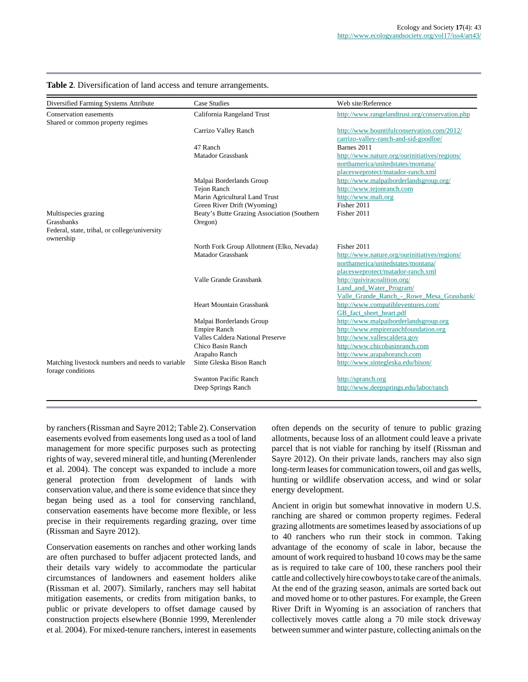| Diversified Farming Systems Attribute                                 | <b>Case Studies</b>                         | Web site/Reference                             |
|-----------------------------------------------------------------------|---------------------------------------------|------------------------------------------------|
| Conservation easements                                                | California Rangeland Trust                  | http://www.rangelandtrust.org/conservation.php |
| Shared or common property regimes                                     |                                             |                                                |
|                                                                       | Carrizo Valley Ranch                        | http://www.bountifulconservation.com/2012/     |
|                                                                       |                                             | carrizo-valley-ranch-and-sid-goodloe/          |
|                                                                       | 47 Ranch                                    | Barnes 2011                                    |
|                                                                       | <b>Matador Grassbank</b>                    | http://www.nature.org/ourinitiatives/regions/  |
|                                                                       |                                             | northamerica/unitedstates/montana/             |
|                                                                       |                                             | placesweprotect/matador-ranch.xml              |
|                                                                       | Malpai Borderlands Group                    | http://www.malpaiborderlandsgroup.org/         |
|                                                                       | <b>Tejon Ranch</b>                          | http://www.tejonranch.com                      |
|                                                                       | Marin Agricultural Land Trust               | http://www.malt.org                            |
|                                                                       | Green River Drift (Wyoming)                 | Fisher 2011                                    |
| Multispecies grazing                                                  | Beaty's Butte Grazing Association (Southern | Fisher 2011                                    |
| <b>Grassbanks</b>                                                     | Oregon)                                     |                                                |
| Federal, state, tribal, or college/university                         |                                             |                                                |
| ownership                                                             |                                             |                                                |
|                                                                       | North Fork Group Allotment (Elko, Nevada)   | Fisher 2011                                    |
|                                                                       | Matador Grassbank                           | http://www.nature.org/ourinitiatives/regions/  |
|                                                                       |                                             | northamerica/unitedstates/montana/             |
|                                                                       |                                             | placesweprotect/matador-ranch.xml              |
|                                                                       | Valle Grande Grassbank                      | http://quiviracoalition.org/                   |
|                                                                       |                                             | Land and Water Program/                        |
|                                                                       |                                             | Valle Grande Ranch - Rowe Mesa Grassbank/      |
|                                                                       | <b>Heart Mountain Grassbank</b>             | http://www.compatibleventures.com/             |
|                                                                       |                                             | GB fact sheet heart.pdf                        |
|                                                                       | Malpai Borderlands Group                    | http://www.malpaiborderlandsgroup.org          |
|                                                                       | <b>Empire Ranch</b>                         | http://www.empireranchfoundation.org           |
|                                                                       | Valles Caldera National Preserve            | http://www.vallescaldera.gov                   |
|                                                                       | Chico Basin Ranch                           | http://www.chicobasinranch.com                 |
|                                                                       | Arapaho Ranch                               | http://www.arapahoranch.com                    |
| Matching livestock numbers and needs to variable<br>forage conditions | Sinte Gleska Bison Ranch                    | http://www.sintegleska.edu/bison/              |
|                                                                       | <b>Swanton Pacific Ranch</b>                | http://spranch.org                             |
|                                                                       | Deep Springs Ranch                          | http://www.deepsprings.edu/labor/ranch         |
|                                                                       |                                             |                                                |

**Table 2**. Diversification of land access and tenure arrangements.

by ranchers (Rissman and Sayre 2012; Table 2). Conservation easements evolved from easements long used as a tool of land management for more specific purposes such as protecting rights of way, severed mineral title, and hunting (Merenlender et al. 2004). The concept was expanded to include a more general protection from development of lands with conservation value, and there is some evidence that since they began being used as a tool for conserving ranchland, conservation easements have become more flexible, or less precise in their requirements regarding grazing, over time (Rissman and Sayre 2012).

Conservation easements on ranches and other working lands are often purchased to buffer adjacent protected lands, and their details vary widely to accommodate the particular circumstances of landowners and easement holders alike (Rissman et al. 2007). Similarly, ranchers may sell habitat mitigation easements, or credits from mitigation banks, to public or private developers to offset damage caused by construction projects elsewhere (Bonnie 1999, Merenlender et al. 2004). For mixed-tenure ranchers, interest in easements

often depends on the security of tenure to public grazing allotments, because loss of an allotment could leave a private parcel that is not viable for ranching by itself (Rissman and Sayre 2012). On their private lands, ranchers may also sign long-term leases for communication towers, oil and gas wells, hunting or wildlife observation access, and wind or solar energy development.

Ancient in origin but somewhat innovative in modern U.S. ranching are shared or common property regimes. Federal grazing allotments are sometimes leased by associations of up to 40 ranchers who run their stock in common. Taking advantage of the economy of scale in labor, because the amount of work required to husband 10 cows may be the same as is required to take care of 100, these ranchers pool their cattle and collectively hire cowboys to take care of the animals. At the end of the grazing season, animals are sorted back out and moved home or to other pastures. For example, the Green River Drift in Wyoming is an association of ranchers that collectively moves cattle along a 70 mile stock driveway between summer and winter pasture, collecting animals on the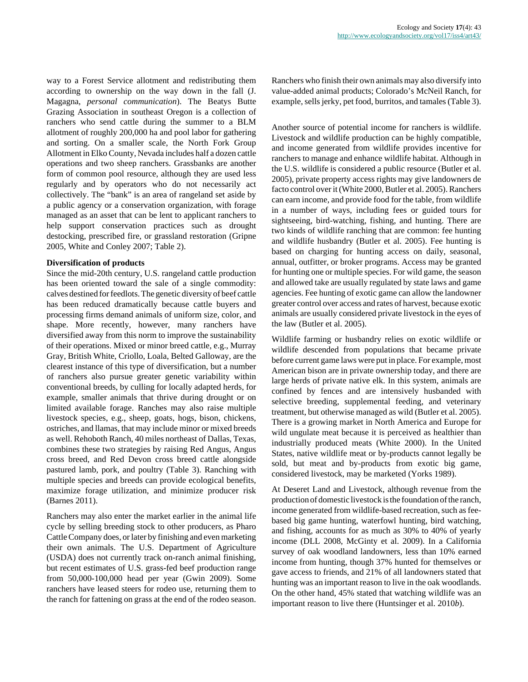way to a Forest Service allotment and redistributing them according to ownership on the way down in the fall (J. Magagna, *personal communication*). The Beatys Butte Grazing Association in southeast Oregon is a collection of ranchers who send cattle during the summer to a BLM allotment of roughly 200,000 ha and pool labor for gathering and sorting. On a smaller scale, the North Fork Group Allotment in Elko County, Nevada includes half a dozen cattle operations and two sheep ranchers. Grassbanks are another form of common pool resource, although they are used less regularly and by operators who do not necessarily act collectively. The "bank" is an area of rangeland set aside by a public agency or a conservation organization, with forage managed as an asset that can be lent to applicant ranchers to help support conservation practices such as drought destocking, prescribed fire, or grassland restoration (Gripne 2005, White and Conley 2007; Table 2).

#### **Diversification of products**

Since the mid-20th century, U.S. rangeland cattle production has been oriented toward the sale of a single commodity: calves destined for feedlots. The genetic diversity of beef cattle has been reduced dramatically because cattle buyers and processing firms demand animals of uniform size, color, and shape. More recently, however, many ranchers have diversified away from this norm to improve the sustainability of their operations. Mixed or minor breed cattle, e.g., Murray Gray, British White, Criollo, Loala, Belted Galloway, are the clearest instance of this type of diversification, but a number of ranchers also pursue greater genetic variability within conventional breeds, by culling for locally adapted herds, for example, smaller animals that thrive during drought or on limited available forage. Ranches may also raise multiple livestock species, e.g., sheep, goats, hogs, bison, chickens, ostriches, and llamas, that may include minor or mixed breeds as well. Rehoboth Ranch, 40 miles northeast of Dallas, Texas, combines these two strategies by raising Red Angus, Angus cross breed, and Red Devon cross breed cattle alongside pastured lamb, pork, and poultry (Table 3). Ranching with multiple species and breeds can provide ecological benefits, maximize forage utilization, and minimize producer risk (Barnes 2011).

Ranchers may also enter the market earlier in the animal life cycle by selling breeding stock to other producers, as Pharo Cattle Company does, or later by finishing and even marketing their own animals. The U.S. Department of Agriculture (USDA) does not currently track on-ranch animal finishing, but recent estimates of U.S. grass-fed beef production range from 50,000-100,000 head per year (Gwin 2009). Some ranchers have leased steers for rodeo use, returning them to the ranch for fattening on grass at the end of the rodeo season. Ranchers who finish their own animals may also diversify into value-added animal products; Colorado's McNeil Ranch, for example, sells jerky, pet food, burritos, and tamales (Table 3).

Another source of potential income for ranchers is wildlife. Livestock and wildlife production can be highly compatible, and income generated from wildlife provides incentive for ranchers to manage and enhance wildlife habitat. Although in the U.S. wildlife is considered a public resource (Butler et al. 2005), private property access rights may give landowners de facto control over it (White 2000, Butler et al. 2005). Ranchers can earn income, and provide food for the table, from wildlife in a number of ways, including fees or guided tours for sightseeing, bird-watching, fishing, and hunting. There are two kinds of wildlife ranching that are common: fee hunting and wildlife husbandry (Butler et al. 2005). Fee hunting is based on charging for hunting access on daily, seasonal, annual, outfitter, or broker programs. Access may be granted for hunting one or multiple species. For wild game, the season and allowed take are usually regulated by state laws and game agencies. Fee hunting of exotic game can allow the landowner greater control over access and rates of harvest, because exotic animals are usually considered private livestock in the eyes of the law (Butler et al. 2005).

Wildlife farming or husbandry relies on exotic wildlife or wildlife descended from populations that became private before current game laws were put in place. For example, most American bison are in private ownership today, and there are large herds of private native elk. In this system, animals are confined by fences and are intensively husbanded with selective breeding, supplemental feeding, and veterinary treatment, but otherwise managed as wild (Butler et al. 2005). There is a growing market in North America and Europe for wild ungulate meat because it is perceived as healthier than industrially produced meats (White 2000). In the United States, native wildlife meat or by-products cannot legally be sold, but meat and by-products from exotic big game, considered livestock, may be marketed (Yorks 1989).

At Deseret Land and Livestock, although revenue from the production of domestic livestock is the foundation of the ranch, income generated from wildlife-based recreation, such as feebased big game hunting, waterfowl hunting, bird watching, and fishing, accounts for as much as 30% to 40% of yearly income (DLL 2008, McGinty et al. 2009). In a California survey of oak woodland landowners, less than 10% earned income from hunting, though 37% hunted for themselves or gave access to friends, and 21% of all landowners stated that hunting was an important reason to live in the oak woodlands. On the other hand, 45% stated that watching wildlife was an important reason to live there (Huntsinger et al. 2010*b*).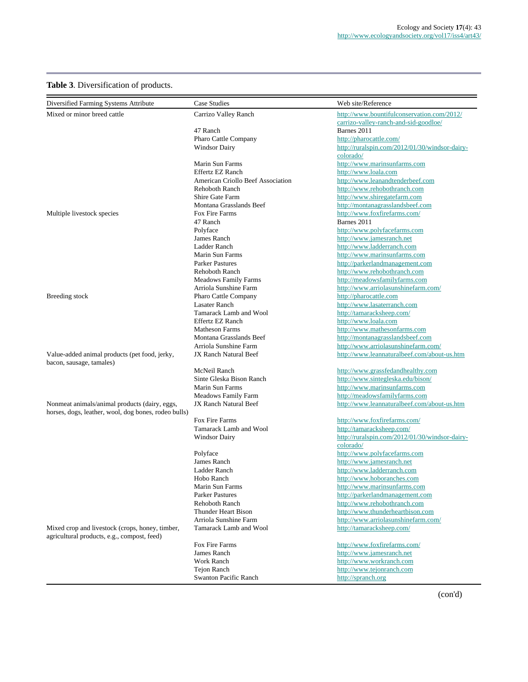# **Table 3**. Diversification of products.

| Diversified Farming Systems Attribute                                                          | Case Studies                      | Web site/Reference                             |
|------------------------------------------------------------------------------------------------|-----------------------------------|------------------------------------------------|
| Mixed or minor breed cattle                                                                    | Carrizo Valley Ranch              | http://www.bountifulconservation.com/2012/     |
|                                                                                                |                                   | carrizo-valley-ranch-and-sid-goodloe/          |
|                                                                                                | 47 Ranch                          | Barnes 2011                                    |
|                                                                                                | Pharo Cattle Company              | http://pharocattle.com/                        |
|                                                                                                | Windsor Dairy                     | http://ruralspin.com/2012/01/30/windsor-dairy- |
|                                                                                                |                                   | colorado/                                      |
|                                                                                                | Marin Sun Farms                   | http://www.marinsunfarms.com                   |
|                                                                                                | <b>Effertz EZ Ranch</b>           | http://www.loala.com                           |
|                                                                                                | American Criollo Beef Association | http://www.leanandtenderbeef.com               |
|                                                                                                | <b>Rehoboth Ranch</b>             | http://www.rehobothranch.com                   |
|                                                                                                | Shire Gate Farm                   | http://www.shiregatefarm.com                   |
|                                                                                                | Montana Grasslands Beef           | http://montanagrasslandsbeef.com               |
| Multiple livestock species                                                                     | Fox Fire Farms                    | http://www.foxfirefarms.com/                   |
|                                                                                                | 47 Ranch                          | Barnes 2011                                    |
|                                                                                                | Polyface                          | http://www.polyfacefarms.com                   |
|                                                                                                | James Ranch                       | http://www.jamesranch.net                      |
|                                                                                                | Ladder Ranch                      | http://www.ladderranch.com                     |
|                                                                                                | Marin Sun Farms                   | http://www.marinsunfarms.com                   |
|                                                                                                | <b>Parker Pastures</b>            | http://parkerlandmanagement.com                |
|                                                                                                | Rehoboth Ranch                    | http://www.rehobothranch.com                   |
|                                                                                                | <b>Meadows Family Farms</b>       | http://meadowsfamilyfarms.com                  |
|                                                                                                | Arriola Sunshine Farm             | http://www.arriolasunshinefarm.com/            |
| Breeding stock                                                                                 | Pharo Cattle Company              | http://pharocattle.com                         |
|                                                                                                | <b>Lasater Ranch</b>              | http://www.lasaterranch.com                    |
|                                                                                                | Tamarack Lamb and Wool            | http://tamaracksheep.com/                      |
|                                                                                                | Effertz EZ Ranch                  | http://www.loala.com                           |
|                                                                                                | <b>Matheson Farms</b>             | http://www.mathesonfarms.com                   |
|                                                                                                | Montana Grasslands Beef           | http://montanagrasslandsbeef.com               |
|                                                                                                | Arriola Sunshine Farm             | http://www.arriolasunshinefarm.com/            |
| Value-added animal products (pet food, jerky,<br>bacon, sausage, tamales)                      | <b>JX Ranch Natural Beef</b>      | http://www.leannaturalbeef.com/about-us.htm    |
|                                                                                                | McNeil Ranch                      | http://www.grassfedandhealthy.com              |
|                                                                                                | Sinte Gleska Bison Ranch          | http://www.sintegleska.edu/bison/              |
|                                                                                                | Marin Sun Farms                   | http://www.marinsunfarms.com                   |
|                                                                                                | <b>Meadows Family Farm</b>        | http://meadowsfamilyfarms.com                  |
| Nonmeat animals/animal products (dairy, eggs,                                                  | JX Ranch Natural Beef             | http://www.leannaturalbeef.com/about-us.htm    |
| horses, dogs, leather, wool, dog bones, rodeo bulls)                                           |                                   |                                                |
|                                                                                                | Fox Fire Farms                    | http://www.foxfirefarms.com/                   |
|                                                                                                | Tamarack Lamb and Wool            | http://tamaracksheep.com/                      |
|                                                                                                | <b>Windsor Dairy</b>              | http://ruralspin.com/2012/01/30/windsor-dairy- |
|                                                                                                |                                   | colorado/                                      |
|                                                                                                | Polyface                          | http://www.polyfacefarms.com                   |
|                                                                                                | James Ranch                       | http://www.jamesranch.net                      |
|                                                                                                | Ladder Ranch                      | http://www.ladderranch.com                     |
|                                                                                                | Hobo Ranch                        | http://www.hoboranches.com                     |
|                                                                                                | Marin Sun Farms                   | http://www.marinsunfarms.com                   |
|                                                                                                | <b>Parker Pastures</b>            | http://parkerlandmanagement.com                |
|                                                                                                | Rehoboth Ranch                    | http://www.rehobothranch.com                   |
|                                                                                                | <b>Thunder Heart Bison</b>        | http://www.thunderheartbison.com               |
|                                                                                                | Arriola Sunshine Farm             | http://www.arriolasunshinefarm.com/            |
| Mixed crop and livestock (crops, honey, timber,<br>agricultural products, e.g., compost, feed) | Tamarack Lamb and Wool            | http://tamaracksheep.com/                      |
|                                                                                                | Fox Fire Farms                    | http://www.foxfirefarms.com/                   |
|                                                                                                | James Ranch                       | http://www.jamesranch.net                      |
|                                                                                                | Work Ranch                        | http://www.workranch.com                       |
|                                                                                                | Tejon Ranch                       | http://www.tejonranch.com                      |
|                                                                                                | <b>Swanton Pacific Ranch</b>      | http://spranch.org                             |
|                                                                                                |                                   |                                                |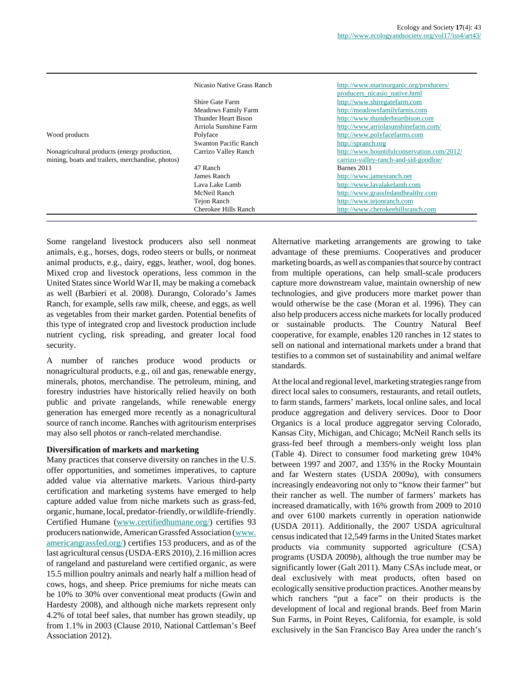|                                                  | Nicasio Native Grass Ranch | http://www.marinorganic.org/producers/     |
|--------------------------------------------------|----------------------------|--------------------------------------------|
|                                                  |                            | producers nicasio native.html              |
|                                                  | Shire Gate Farm            | http://www.shiregatefarm.com               |
|                                                  | Meadows Family Farm        | http://meadowsfamilyfarms.com              |
|                                                  | Thunder Heart Bison        | http://www.thunderheartbison.com           |
|                                                  | Arriola Sunshine Farm      | http://www.arriolasunshinefarm.com/        |
| Wood products                                    | Polyface                   | http://www.polyfacefarms.com               |
|                                                  | Swanton Pacific Ranch      | http://spranch.org                         |
| Nonagricultural products (energy production,     | Carrizo Valley Ranch       | http://www.bountifulconservation.com/2012/ |
| mining, boats and trailers, merchandise, photos) |                            | carrizo-valley-ranch-and-sid-goodloe/      |
|                                                  | 47 Ranch                   | Barnes 2011                                |
|                                                  | James Ranch                | http://www.jamesranch.net                  |
|                                                  | Lava Lake Lamb             | http://www.lavalakelamb.com                |
|                                                  | McNeil Ranch               | http://www.grassfedandhealthy.com          |
|                                                  | Tejon Ranch                | http://www.tejonranch.com                  |
|                                                  | Cherokee Hills Ranch       | http://www.cherokeehillsranch.com          |

Some rangeland livestock producers also sell nonmeat animals, e.g., horses, dogs, rodeo steers or bulls, or nonmeat animal products, e.g., dairy, eggs, leather, wool, dog bones. Mixed crop and livestock operations, less common in the United States since World War II, may be making a comeback as well (Barbieri et al. 2008). Durango, Colorado's James Ranch, for example, sells raw milk, cheese, and eggs, as well as vegetables from their market garden. Potential benefits of this type of integrated crop and livestock production include nutrient cycling, risk spreading, and greater local food security.

A number of ranches produce wood products or nonagricultural products, e.g., oil and gas, renewable energy, minerals, photos, merchandise. The petroleum, mining, and forestry industries have historically relied heavily on both public and private rangelands, while renewable energy generation has emerged more recently as a nonagricultural source of ranch income. Ranches with agritourism enterprises may also sell photos or ranch-related merchandise.

# **Diversification of markets and marketing**

Many practices that conserve diversity on ranches in the U.S. offer opportunities, and sometimes imperatives, to capture added value via alternative markets. Various third-party certification and marketing systems have emerged to help capture added value from niche markets such as grass-fed, organic, humane, local, predator-friendly, or wildlife-friendly. Certified Humane [\(www.certifiedhumane.org/\)](http://www.certifiedhumane.org/) certifies 93 producers nationwide, American Grassfed Association ([www.](http://www.americangrassfed.org/) [americangrassfed.org/\)](http://www.americangrassfed.org/) certifies 153 producers, and as of the last agricultural census (USDA-ERS 2010), 2.16 million acres of rangeland and pastureland were certified organic, as were 15.5 million poultry animals and nearly half a million head of cows, hogs, and sheep. Price premiums for niche meats can be 10% to 30% over conventional meat products (Gwin and Hardesty 2008), and although niche markets represent only 4.2% of total beef sales, that number has grown steadily, up from 1.1% in 2003 (Clause 2010, National Cattleman's Beef Association 2012).

Alternative marketing arrangements are growing to take advantage of these premiums. Cooperatives and producer marketing boards, as well as companies that source by contract from multiple operations, can help small-scale producers capture more downstream value, maintain ownership of new technologies, and give producers more market power than would otherwise be the case (Moran et al. 1996). They can also help producers access niche markets for locally produced or sustainable products. The Country Natural Beef cooperative, for example, enables 120 ranches in 12 states to sell on national and international markets under a brand that testifies to a common set of sustainability and animal welfare standards.

At the local and regional level, marketing strategies range from direct local sales to consumers, restaurants, and retail outlets, to farm stands, farmers' markets, local online sales, and local produce aggregation and delivery services. Door to Door Organics is a local produce aggregator serving Colorado, Kansas City, Michigan, and Chicago; McNeil Ranch sells its grass-fed beef through a members-only weight loss plan (Table 4). Direct to consumer food marketing grew 104% between 1997 and 2007, and 135% in the Rocky Mountain and far Western states (USDA 2009*a*), with consumers increasingly endeavoring not only to "know their farmer" but their rancher as well. The number of farmers' markets has increased dramatically, with 16% growth from 2009 to 2010 and over 6100 markets currently in operation nationwide (USDA 2011). Additionally, the 2007 USDA agricultural census indicated that 12,549 farms in the United States market products via community supported agriculture (CSA) programs (USDA 2009*b*), although the true number may be significantly lower (Galt 2011). Many CSAs include meat, or deal exclusively with meat products, often based on ecologically sensitive production practices. Another means by which ranchers "put a face" on their products is the development of local and regional brands. Beef from Marin Sun Farms, in Point Reyes, California, for example, is sold exclusively in the San Francisco Bay Area under the ranch's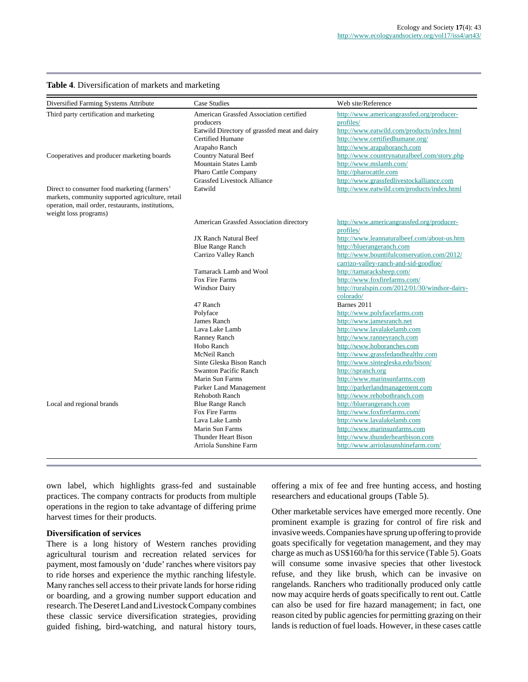#### **Table 4**. Diversification of markets and marketing

| Diversified Farming Systems Attribute                                                                                                                                         | <b>Case Studies</b>                                                                                                                       | Web site/Reference                                                                                                                                                     |
|-------------------------------------------------------------------------------------------------------------------------------------------------------------------------------|-------------------------------------------------------------------------------------------------------------------------------------------|------------------------------------------------------------------------------------------------------------------------------------------------------------------------|
| Third party certification and marketing                                                                                                                                       | American Grassfed Association certified<br>producers<br>Eatwild Directory of grassfed meat and dairy<br>Certified Humane<br>Arapaho Ranch | http://www.americangrassfed.org/producer-<br>profiles/<br>http://www.eatwild.com/products/index.html<br>http://www.certifiedhumane.org/<br>http://www.arapahoranch.com |
| Cooperatives and producer marketing boards                                                                                                                                    | Country Natural Beef<br>Mountain States Lamb<br>Pharo Cattle Company<br>Grassfed Livestock Alliance                                       | http://www.countrynaturalbeef.com/story.php<br>http://www.mslamb.com/<br>http://pharocattle.com<br>http://www.grassfedlivestockalliance.com                            |
| Direct to consumer food marketing (farmers'<br>markets, community supported agriculture, retail<br>operation, mail order, restaurants, institutions,<br>weight loss programs) | Eatwild                                                                                                                                   | http://www.eatwild.com/products/index.html                                                                                                                             |
|                                                                                                                                                                               | American Grassfed Association directory                                                                                                   | http://www.americangrassfed.org/producer-<br>profiles/                                                                                                                 |
|                                                                                                                                                                               | JX Ranch Natural Beef                                                                                                                     | http://www.leannaturalbeef.com/about-us.htm                                                                                                                            |
|                                                                                                                                                                               | <b>Blue Range Ranch</b>                                                                                                                   | http://bluerangeranch.com                                                                                                                                              |
|                                                                                                                                                                               | Carrizo Valley Ranch                                                                                                                      | http://www.bountifulconservation.com/2012/<br>carrizo-valley-ranch-and-sid-goodloe/                                                                                    |
|                                                                                                                                                                               | Tamarack Lamb and Wool                                                                                                                    | http://tamaracksheep.com/                                                                                                                                              |
|                                                                                                                                                                               | Fox Fire Farms                                                                                                                            | http://www.foxfirefarms.com/                                                                                                                                           |
|                                                                                                                                                                               | <b>Windsor Dairy</b>                                                                                                                      | http://ruralspin.com/2012/01/30/windsor-dairy-<br>colorado/                                                                                                            |
|                                                                                                                                                                               | 47 Ranch                                                                                                                                  | Barnes 2011                                                                                                                                                            |
|                                                                                                                                                                               | Polyface                                                                                                                                  | http://www.polyfacefarms.com                                                                                                                                           |
|                                                                                                                                                                               | James Ranch                                                                                                                               | http://www.jamesranch.net                                                                                                                                              |
|                                                                                                                                                                               | Lava Lake Lamb                                                                                                                            | http://www.lavalakelamb.com                                                                                                                                            |
|                                                                                                                                                                               | Ranney Ranch                                                                                                                              | http://www.ranneyranch.com                                                                                                                                             |
|                                                                                                                                                                               | Hobo Ranch                                                                                                                                | http://www.hoboranches.com                                                                                                                                             |
|                                                                                                                                                                               | McNeil Ranch                                                                                                                              | http://www.grassfedandhealthy.com                                                                                                                                      |
|                                                                                                                                                                               | Sinte Gleska Bison Ranch                                                                                                                  | http://www.sintegleska.edu/bison/                                                                                                                                      |
|                                                                                                                                                                               | <b>Swanton Pacific Ranch</b>                                                                                                              | http://spranch.org                                                                                                                                                     |
|                                                                                                                                                                               | Marin Sun Farms                                                                                                                           | http://www.marinsunfarms.com                                                                                                                                           |
|                                                                                                                                                                               | Parker Land Management                                                                                                                    | http://parkerlandmanagement.com                                                                                                                                        |
|                                                                                                                                                                               | <b>Rehoboth Ranch</b>                                                                                                                     | http://www.rehobothranch.com                                                                                                                                           |
| Local and regional brands                                                                                                                                                     | <b>Blue Range Ranch</b>                                                                                                                   | http://bluerangeranch.com                                                                                                                                              |
|                                                                                                                                                                               | Fox Fire Farms                                                                                                                            | http://www.foxfirefarms.com/                                                                                                                                           |
|                                                                                                                                                                               | Lava Lake Lamb                                                                                                                            | http://www.lavalakelamb.com                                                                                                                                            |
|                                                                                                                                                                               | Marin Sun Farms                                                                                                                           | http://www.marinsunfarms.com                                                                                                                                           |
|                                                                                                                                                                               | Thunder Heart Bison                                                                                                                       | http://www.thunderheartbison.com                                                                                                                                       |
|                                                                                                                                                                               | Arriola Sunshine Farm                                                                                                                     | http://www.arriolasunshinefarm.com/                                                                                                                                    |
|                                                                                                                                                                               |                                                                                                                                           |                                                                                                                                                                        |

own label, which highlights grass-fed and sustainable practices. The company contracts for products from multiple operations in the region to take advantage of differing prime harvest times for their products.

#### **Diversification of services**

There is a long history of Western ranches providing agricultural tourism and recreation related services for payment, most famously on 'dude' ranches where visitors pay to ride horses and experience the mythic ranching lifestyle. Many ranches sell access to their private lands for horse riding or boarding, and a growing number support education and research. The Deseret Land and Livestock Company combines these classic service diversification strategies, providing guided fishing, bird-watching, and natural history tours, offering a mix of fee and free hunting access, and hosting researchers and educational groups (Table 5).

Other marketable services have emerged more recently. One prominent example is grazing for control of fire risk and invasive weeds. Companies have sprung up offering to provide goats specifically for vegetation management, and they may charge as much as US\$160/ha for this service (Table 5). Goats will consume some invasive species that other livestock refuse, and they like brush, which can be invasive on rangelands. Ranchers who traditionally produced only cattle now may acquire herds of goats specifically to rent out. Cattle can also be used for fire hazard management; in fact, one reason cited by public agencies for permitting grazing on their lands is reduction of fuel loads. However, in these cases cattle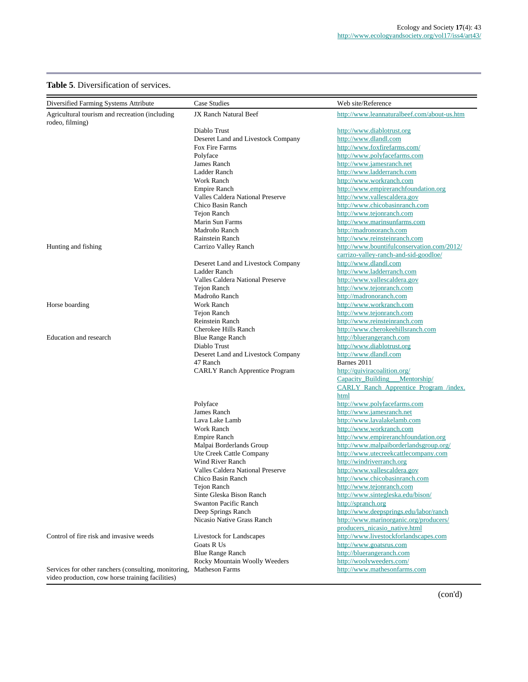### **Table 5**. Diversification of services.

| Diversified Farming Systems Attribute                               | Case Studies                          | Web site/Reference                                            |
|---------------------------------------------------------------------|---------------------------------------|---------------------------------------------------------------|
| Agricultural tourism and recreation (including<br>rodeo, filming)   | JX Ranch Natural Beef                 | http://www.leannaturalbeef.com/about-us.htm                   |
|                                                                     | Diablo Trust                          | http://www.diablotrust.org                                    |
|                                                                     | Deseret Land and Livestock Company    | http://www.dlandl.com                                         |
|                                                                     | Fox Fire Farms                        | http://www.foxfirefarms.com/                                  |
|                                                                     | Polyface                              | http://www.polyfacefarms.com                                  |
|                                                                     | James Ranch                           | http://www.jamesranch.net                                     |
|                                                                     | Ladder Ranch                          | http://www.ladderranch.com                                    |
|                                                                     | Work Ranch                            | http://www.workranch.com                                      |
|                                                                     | <b>Empire Ranch</b>                   | http://www.empireranchfoundation.org                          |
|                                                                     | Valles Caldera National Preserve      | http://www.vallescaldera.gov                                  |
|                                                                     | Chico Basin Ranch                     | http://www.chicobasinranch.com                                |
|                                                                     | <b>Tejon Ranch</b>                    | http://www.tejonranch.com                                     |
|                                                                     | Marin Sun Farms                       | http://www.marinsunfarms.com                                  |
|                                                                     | Madroño Ranch                         | http://madronoranch.com                                       |
|                                                                     | Rainstein Ranch                       | http://www.reinsteinranch.com                                 |
| Hunting and fishing                                                 | Carrizo Valley Ranch                  | http://www.bountifulconservation.com/2012/                    |
|                                                                     |                                       | carrizo-valley-ranch-and-sid-goodloe/                         |
|                                                                     | Deseret Land and Livestock Company    | http://www.dlandl.com                                         |
|                                                                     | Ladder Ranch                          | http://www.ladderranch.com                                    |
|                                                                     | Valles Caldera National Preserve      | http://www.vallescaldera.gov                                  |
|                                                                     | <b>Tejon Ranch</b>                    | http://www.tejonranch.com                                     |
|                                                                     | Madroño Ranch                         | http://madronoranch.com                                       |
| Horse boarding                                                      | Work Ranch                            | http://www.workranch.com                                      |
|                                                                     | <b>Tejon Ranch</b>                    | http://www.tejonranch.com                                     |
|                                                                     | <b>Reinstein Ranch</b>                | http://www.reinsteinranch.com                                 |
|                                                                     | Cherokee Hills Ranch                  | http://www.cherokeehillsranch.com                             |
| <b>Education and research</b>                                       | <b>Blue Range Ranch</b>               | http://bluerangeranch.com                                     |
|                                                                     | Diablo Trust                          | http://www.diablotrust.org                                    |
|                                                                     | Deseret Land and Livestock Company    | http://www.dlandl.com<br>Barnes 2011                          |
|                                                                     | 47 Ranch                              |                                                               |
|                                                                     | <b>CARLY Ranch Apprentice Program</b> | http://quiviracoalition.org/<br>Capacity_Building Mentorship/ |
|                                                                     |                                       | CARLY Ranch Apprentice Program /index.                        |
|                                                                     |                                       | html                                                          |
|                                                                     | Polyface                              | http://www.polyfacefarms.com                                  |
|                                                                     | James Ranch                           | http://www.jamesranch.net                                     |
|                                                                     | Lava Lake Lamb                        | http://www.lavalakelamb.com                                   |
|                                                                     | <b>Work Ranch</b>                     | http://www.workranch.com                                      |
|                                                                     | <b>Empire Ranch</b>                   | http://www.empireranchfoundation.org                          |
|                                                                     | Malpai Borderlands Group              | http://www.malpaiborderlandsgroup.org/                        |
|                                                                     | Ute Creek Cattle Company              | http://www.utecreekcattlecompany.com                          |
|                                                                     | Wind River Ranch                      | http://windriverranch.org                                     |
|                                                                     | Valles Caldera National Preserve      | http://www.vallescaldera.gov                                  |
|                                                                     | Chico Basin Ranch                     | http://www.chicobasinranch.com                                |
|                                                                     | Tejon Ranch                           | http://www.tejonranch.com                                     |
|                                                                     | Sinte Gleska Bison Ranch              | http://www.sintegleska.edu/bison/                             |
|                                                                     | <b>Swanton Pacific Ranch</b>          | http://spranch.org                                            |
|                                                                     | Deep Springs Ranch                    | http://www.deepsprings.edu/labor/ranch                        |
|                                                                     | Nicasio Native Grass Ranch            | http://www.marinorganic.org/producers/                        |
|                                                                     |                                       | producers_nicasio_native.html                                 |
| Control of fire risk and invasive weeds                             | Livestock for Landscapes              | http://www.livestockforlandscapes.com                         |
|                                                                     | Goats R Us                            | http://www.goatsrus.com                                       |
|                                                                     | <b>Blue Range Ranch</b>               | http://bluerangeranch.com                                     |
|                                                                     | Rocky Mountain Woolly Weeders         | http://woolyweeders.com/                                      |
| Services for other ranchers (consulting, monitoring, Matheson Farms |                                       | http://www.mathesonfarms.com                                  |

video production, cow horse training facilities)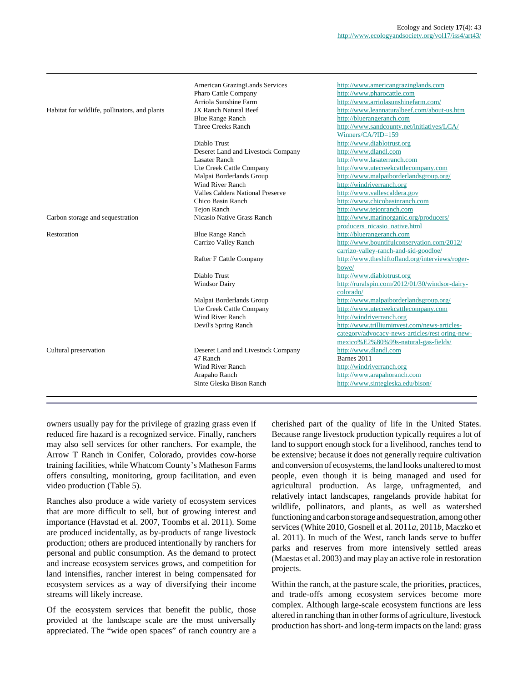|                                               | American GrazingLands Services<br>Pharo Cattle Company | http://www.americangrazinglands.com<br>http://www.pharocattle.com |
|-----------------------------------------------|--------------------------------------------------------|-------------------------------------------------------------------|
|                                               | Arriola Sunshine Farm                                  | http://www.arriolasunshinefarm.com/                               |
| Habitat for wildlife, pollinators, and plants | JX Ranch Natural Beef                                  | http://www.leannaturalbeef.com/about-us.htm                       |
|                                               | <b>Blue Range Ranch</b>                                | http://bluerangeranch.com                                         |
|                                               | Three Creeks Ranch                                     | http://www.sandcounty.net/initiatives/LCA/                        |
|                                               |                                                        | Winners/CA/?ID=159                                                |
|                                               | Diablo Trust                                           | http://www.diablotrust.org                                        |
|                                               | Deseret Land and Livestock Company                     | http://www.dlandl.com                                             |
|                                               | <b>Lasater Ranch</b>                                   | http://www.lasaterranch.com                                       |
|                                               | Ute Creek Cattle Company                               | http://www.utecreekcattlecompany.com                              |
|                                               | Malpai Borderlands Group                               | http://www.malpaiborderlandsgroup.org/                            |
|                                               | Wind River Ranch                                       | http://windriverranch.org                                         |
|                                               | Valles Caldera National Preserve                       | http://www.vallescaldera.gov                                      |
|                                               | Chico Basin Ranch                                      | http://www.chicobasinranch.com                                    |
|                                               | Tejon Ranch                                            | http://www.tejonranch.com                                         |
| Carbon storage and sequestration              | Nicasio Native Grass Ranch                             | http://www.marinorganic.org/producers/                            |
|                                               |                                                        | producers_nicasio_native.html                                     |
| Restoration                                   | <b>Blue Range Ranch</b>                                | http://bluerangeranch.com                                         |
|                                               | Carrizo Valley Ranch                                   | http://www.bountifulconservation.com/2012/                        |
|                                               |                                                        | carrizo-valley-ranch-and-sid-goodloe/                             |
|                                               | Rafter F Cattle Company                                | http://www.theshiftofland.org/interviews/roger-                   |
|                                               |                                                        | bowe/                                                             |
|                                               | Diablo Trust                                           | http://www.diablotrust.org                                        |
|                                               | <b>Windsor Dairy</b>                                   | http://ruralspin.com/2012/01/30/windsor-dairy-<br>colorado/       |
|                                               | Malpai Borderlands Group                               | http://www.malpaiborderlandsgroup.org/                            |
|                                               | Ute Creek Cattle Company                               | http://www.utecreekcattlecompany.com                              |
|                                               | Wind River Ranch                                       | http://windriverranch.org                                         |
|                                               | Devil's Spring Ranch                                   | http://www.trilliuminvest.com/news-articles-                      |
|                                               |                                                        | category/advocacy-news-articles/rest oring-new-                   |
|                                               |                                                        | mexico%E2%80%99s-natural-gas-fields/                              |
| Cultural preservation                         | Deseret Land and Livestock Company                     | http://www.dlandl.com                                             |
|                                               | 47 Ranch                                               | Barnes 2011                                                       |
|                                               | Wind River Ranch                                       | http://windriverranch.org                                         |
|                                               | Arapaho Ranch                                          | http://www.arapahoranch.com                                       |
|                                               | Sinte Gleska Bison Ranch                               | http://www.sintegleska.edu/bison/                                 |
|                                               |                                                        |                                                                   |

owners usually pay for the privilege of grazing grass even if reduced fire hazard is a recognized service. Finally, ranchers may also sell services for other ranchers. For example, the Arrow T Ranch in Conifer, Colorado, provides cow-horse training facilities, while Whatcom County's Matheson Farms offers consulting, monitoring, group facilitation, and even video production (Table 5).

Ranches also produce a wide variety of ecosystem services that are more difficult to sell, but of growing interest and importance (Havstad et al. 2007, Toombs et al. 2011). Some are produced incidentally, as by-products of range livestock production; others are produced intentionally by ranchers for personal and public consumption. As the demand to protect and increase ecosystem services grows, and competition for land intensifies, rancher interest in being compensated for ecosystem services as a way of diversifying their income streams will likely increase.

Of the ecosystem services that benefit the public, those provided at the landscape scale are the most universally appreciated. The "wide open spaces" of ranch country are a cherished part of the quality of life in the United States. Because range livestock production typically requires a lot of land to support enough stock for a livelihood, ranches tend to be extensive; because it does not generally require cultivation and conversion of ecosystems, the land looks unaltered to most people, even though it is being managed and used for agricultural production. As large, unfragmented, and relatively intact landscapes, rangelands provide habitat for wildlife, pollinators, and plants, as well as watershed functioning and carbon storage and sequestration, among other services (White 2010, Gosnell et al. 2011*a*, 2011*b*, Maczko et al. 2011). In much of the West, ranch lands serve to buffer parks and reserves from more intensively settled areas (Maestas et al. 2003) and may play an active role in restoration projects.

Within the ranch, at the pasture scale, the priorities, practices, and trade-offs among ecosystem services become more complex. Although large-scale ecosystem functions are less altered in ranching than in other forms of agriculture, livestock production has short- and long-term impacts on the land: grass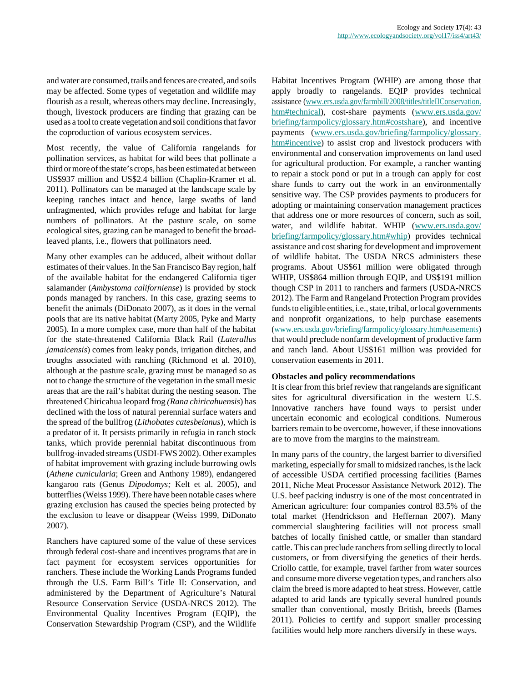and water are consumed, trails and fences are created, and soils may be affected. Some types of vegetation and wildlife may flourish as a result, whereas others may decline. Increasingly, though, livestock producers are finding that grazing can be used as a tool to create vegetation and soil conditions that favor the coproduction of various ecosystem services.

Most recently, the value of California rangelands for pollination services, as habitat for wild bees that pollinate a third or more of the state's crops, has been estimated at between US\$937 million and US\$2.4 billion (Chaplin-Kramer et al. 2011). Pollinators can be managed at the landscape scale by keeping ranches intact and hence, large swaths of land unfragmented, which provides refuge and habitat for large numbers of pollinators. At the pasture scale, on some ecological sites, grazing can be managed to benefit the broadleaved plants, i.e., flowers that pollinators need.

Many other examples can be adduced, albeit without dollar estimates of their values. In the San Francisco Bay region, half of the available habitat for the endangered California tiger salamander (*Ambystoma californiense*) is provided by stock ponds managed by ranchers. In this case, grazing seems to benefit the animals (DiDonato 2007), as it does in the vernal pools that are its native habitat (Marty 2005, Pyke and Marty 2005). In a more complex case, more than half of the habitat for the state-threatened California Black Rail (*Laterallus jamaicensis*) comes from leaky ponds, irrigation ditches, and troughs associated with ranching (Richmond et al. 2010), although at the pasture scale, grazing must be managed so as not to change the structure of the vegetation in the small mesic areas that are the rail's habitat during the nesting season. The threatened Chiricahua leopard frog *(Rana chiricahuensis*) has declined with the loss of natural perennial surface waters and the spread of the bullfrog (*Lithobates catesbeianus*), which is a predator of it. It persists primarily in refugia in ranch stock tanks, which provide perennial habitat discontinuous from bullfrog-invaded streams (USDI-FWS 2002). Other examples of habitat improvement with grazing include burrowing owls (*Athene cunicularia*; Green and Anthony 1989), endangered kangaroo rats (Genus *Dipodomys;* Kelt et al. 2005), and butterflies (Weiss 1999). There have been notable cases where grazing exclusion has caused the species being protected by the exclusion to leave or disappear (Weiss 1999, DiDonato 2007).

Ranchers have captured some of the value of these services through federal cost-share and incentives programs that are in fact payment for ecosystem services opportunities for ranchers. These include the Working Lands Programs funded through the U.S. Farm Bill's Title II: Conservation, and administered by the Department of Agriculture's Natural Resource Conservation Service (USDA-NRCS 2012). The Environmental Quality Incentives Program (EQIP), the Conservation Stewardship Program (CSP), and the Wildlife Habitat Incentives Program (WHIP) are among those that apply broadly to rangelands. EQIP provides technical assistance ([www.ers.usda.gov/farmbill/2008/titles/titleIIConservation.](http://www.ers.usda.gov/farmbill/2008/titles/titleIIConservation.htm#technical) [htm#technical\)](http://www.ers.usda.gov/farmbill/2008/titles/titleIIConservation.htm#technical), cost-share payments [\(www.ers.usda.gov/](http://www.ers.usda.gov/briefing/farmpolicy/glossary.htm#costshare) [briefing/farmpolicy/glossary.htm#costshare\)](http://www.ers.usda.gov/briefing/farmpolicy/glossary.htm#costshare), and incentive payments [\(www.ers.usda.gov/briefing/farmpolicy/glossary.](http://www.ers.usda.gov/briefing/farmpolicy/glossary.htm#incentive) [htm#incentive](http://www.ers.usda.gov/briefing/farmpolicy/glossary.htm#incentive)) to assist crop and livestock producers with environmental and conservation improvements on land used for agricultural production. For example, a rancher wanting to repair a stock pond or put in a trough can apply for cost share funds to carry out the work in an environmentally sensitive way. The CSP provides payments to producers for adopting or maintaining conservation management practices that address one or more resources of concern, such as soil, water, and wildlife habitat. WHIP [\(www.ers.usda.gov/](http://www.ers.usda.gov/briefing/farmpolicy/glossary.htm#whip) [briefing/farmpolicy/glossary.htm#whip](http://www.ers.usda.gov/briefing/farmpolicy/glossary.htm#whip)) provides technical assistance and cost sharing for development and improvement of wildlife habitat. The USDA NRCS administers these programs. About US\$61 million were obligated through WHIP, US\$864 million through EQIP, and US\$191 million though CSP in 2011 to ranchers and farmers (USDA-NRCS 2012). The Farm and Rangeland Protection Program provides funds to eligible entities, i.e., state, tribal, or local governments and nonprofit organizations, to help purchase easements [\(www.ers.usda.gov/briefing/farmpolicy/glossary.htm#easements\)](http://www.ers.usda.gov/briefing/farmpolicy/glossary.htm#easements) that would preclude nonfarm development of productive farm and ranch land. About US\$161 million was provided for conservation easements in 2011.

#### **Obstacles and policy recommendations**

It is clear from this brief review that rangelands are significant sites for agricultural diversification in the western U.S. Innovative ranchers have found ways to persist under uncertain economic and ecological conditions. Numerous barriers remain to be overcome, however, if these innovations are to move from the margins to the mainstream.

In many parts of the country, the largest barrier to diversified marketing, especially for small to midsized ranches, is the lack of accessible USDA certified processing facilities (Barnes 2011, Niche Meat Processor Assistance Network 2012). The U.S. beef packing industry is one of the most concentrated in American agriculture: four companies control 83.5% of the total market (Hendrickson and Heffernan 2007). Many commercial slaughtering facilities will not process small batches of locally finished cattle, or smaller than standard cattle. This can preclude ranchers from selling directly to local customers, or from diversifying the genetics of their herds. Criollo cattle, for example, travel farther from water sources and consume more diverse vegetation types, and ranchers also claim the breed is more adapted to heat stress. However, cattle adapted to arid lands are typically several hundred pounds smaller than conventional, mostly British, breeds (Barnes 2011). Policies to certify and support smaller processing facilities would help more ranchers diversify in these ways.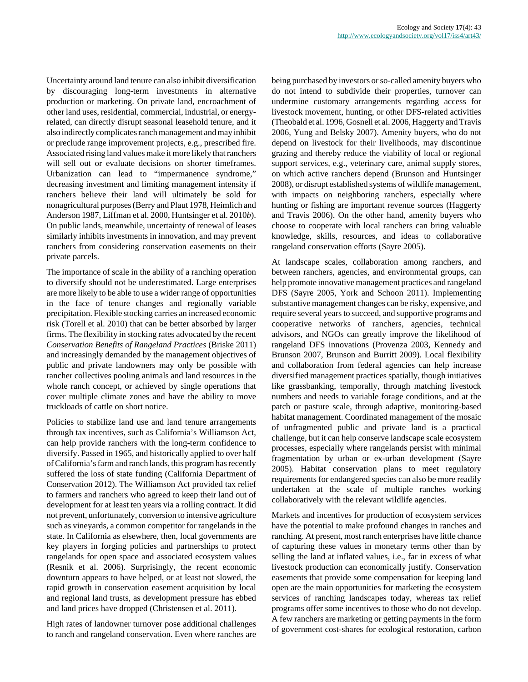Uncertainty around land tenure can also inhibit diversification by discouraging long-term investments in alternative production or marketing. On private land, encroachment of other land uses, residential, commercial, industrial, or energyrelated, can directly disrupt seasonal leasehold tenure, and it also indirectly complicates ranch management and may inhibit or preclude range improvement projects, e.g., prescribed fire. Associated rising land values make it more likely that ranchers will sell out or evaluate decisions on shorter timeframes. Urbanization can lead to "impermanence syndrome," decreasing investment and limiting management intensity if ranchers believe their land will ultimately be sold for nonagricultural purposes (Berry and Plaut 1978, Heimlich and Anderson 1987, Liffman et al. 2000, Huntsinger et al. 2010*b*). On public lands, meanwhile, uncertainty of renewal of leases similarly inhibits investments in innovation, and may prevent ranchers from considering conservation easements on their private parcels.

The importance of scale in the ability of a ranching operation to diversify should not be underestimated. Large enterprises are more likely to be able to use a wider range of opportunities in the face of tenure changes and regionally variable precipitation. Flexible stocking carries an increased economic risk (Torell et al. 2010) that can be better absorbed by larger firms. The flexibility in stocking rates advocated by the recent *Conservation Benefits of Rangeland Practices* (Briske 2011) and increasingly demanded by the management objectives of public and private landowners may only be possible with rancher collectives pooling animals and land resources in the whole ranch concept, or achieved by single operations that cover multiple climate zones and have the ability to move truckloads of cattle on short notice.

Policies to stabilize land use and land tenure arrangements through tax incentives, such as California's Williamson Act, can help provide ranchers with the long-term confidence to diversify. Passed in 1965, and historically applied to over half of California's farm and ranch lands, this program has recently suffered the loss of state funding (California Department of Conservation 2012). The Williamson Act provided tax relief to farmers and ranchers who agreed to keep their land out of development for at least ten years via a rolling contract. It did not prevent, unfortunately, conversion to intensive agriculture such as vineyards, a common competitor for rangelands in the state. In California as elsewhere, then, local governments are key players in forging policies and partnerships to protect rangelands for open space and associated ecosystem values (Resnik et al. 2006). Surprisingly, the recent economic downturn appears to have helped, or at least not slowed, the rapid growth in conservation easement acquisition by local and regional land trusts, as development pressure has ebbed and land prices have dropped (Christensen et al. 2011).

High rates of landowner turnover pose additional challenges to ranch and rangeland conservation. Even where ranches are being purchased by investors or so-called amenity buyers who do not intend to subdivide their properties, turnover can undermine customary arrangements regarding access for livestock movement, hunting, or other DFS-related activities (Theobald et al. 1996, Gosnell et al. 2006, Haggerty and Travis 2006, Yung and Belsky 2007). Amenity buyers, who do not depend on livestock for their livelihoods, may discontinue grazing and thereby reduce the viability of local or regional support services, e.g., veterinary care, animal supply stores, on which active ranchers depend (Brunson and Huntsinger 2008), or disrupt established systems of wildlife management, with impacts on neighboring ranchers, especially where hunting or fishing are important revenue sources (Haggerty and Travis 2006). On the other hand, amenity buyers who choose to cooperate with local ranchers can bring valuable knowledge, skills, resources, and ideas to collaborative rangeland conservation efforts (Sayre 2005).

At landscape scales, collaboration among ranchers, and between ranchers, agencies, and environmental groups, can help promote innovative management practices and rangeland DFS (Sayre 2005, York and Schoon 2011). Implementing substantive management changes can be risky, expensive, and require several years to succeed, and supportive programs and cooperative networks of ranchers, agencies, technical advisors, and NGOs can greatly improve the likelihood of rangeland DFS innovations (Provenza 2003, Kennedy and Brunson 2007, Brunson and Burritt 2009). Local flexibility and collaboration from federal agencies can help increase diversified management practices spatially, though initiatives like grassbanking, temporally, through matching livestock numbers and needs to variable forage conditions, and at the patch or pasture scale, through adaptive, monitoring-based habitat management. Coordinated management of the mosaic of unfragmented public and private land is a practical challenge, but it can help conserve landscape scale ecosystem processes, especially where rangelands persist with minimal fragmentation by urban or ex-urban development (Sayre 2005). Habitat conservation plans to meet regulatory requirements for endangered species can also be more readily undertaken at the scale of multiple ranches working collaboratively with the relevant wildlife agencies.

Markets and incentives for production of ecosystem services have the potential to make profound changes in ranches and ranching. At present, most ranch enterprises have little chance of capturing these values in monetary terms other than by selling the land at inflated values, i.e., far in excess of what livestock production can economically justify. Conservation easements that provide some compensation for keeping land open are the main opportunities for marketing the ecosystem services of ranching landscapes today, whereas tax relief programs offer some incentives to those who do not develop. A few ranchers are marketing or getting payments in the form of government cost-shares for ecological restoration, carbon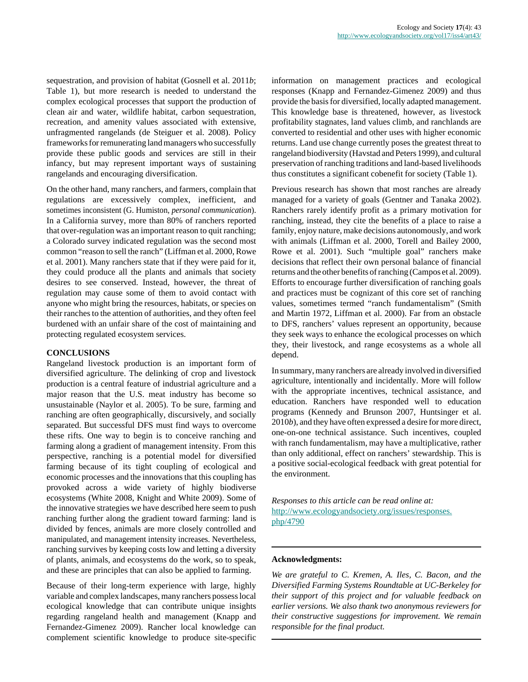sequestration, and provision of habitat (Gosnell et al. 2011*b*; Table 1), but more research is needed to understand the complex ecological processes that support the production of clean air and water, wildlife habitat, carbon sequestration, recreation, and amenity values associated with extensive, unfragmented rangelands (de Steiguer et al. 2008). Policy frameworks for remunerating land managers who successfully provide these public goods and services are still in their infancy, but may represent important ways of sustaining rangelands and encouraging diversification.

On the other hand, many ranchers, and farmers, complain that regulations are excessively complex, inefficient, and sometimes inconsistent (G. Humiston, *personal communication*). In a California survey, more than 80% of ranchers reported that over-regulation was an important reason to quit ranching; a Colorado survey indicated regulation was the second most common "reason to sell the ranch" (Liffman et al. 2000, Rowe et al. 2001). Many ranchers state that if they were paid for it, they could produce all the plants and animals that society desires to see conserved. Instead, however, the threat of regulation may cause some of them to avoid contact with anyone who might bring the resources, habitats, or species on their ranches to the attention of authorities, and they often feel burdened with an unfair share of the cost of maintaining and protecting regulated ecosystem services.

#### **CONCLUSIONS**

Rangeland livestock production is an important form of diversified agriculture. The delinking of crop and livestock production is a central feature of industrial agriculture and a major reason that the U.S. meat industry has become so unsustainable (Naylor et al. 2005). To be sure, farming and ranching are often geographically, discursively, and socially separated. But successful DFS must find ways to overcome these rifts. One way to begin is to conceive ranching and farming along a gradient of management intensity. From this perspective, ranching is a potential model for diversified farming because of its tight coupling of ecological and economic processes and the innovations that this coupling has provoked across a wide variety of highly biodiverse ecosystems (White 2008, Knight and White 2009). Some of the innovative strategies we have described here seem to push ranching further along the gradient toward farming: land is divided by fences, animals are more closely controlled and manipulated, and management intensity increases. Nevertheless, ranching survives by keeping costs low and letting a diversity of plants, animals, and ecosystems do the work, so to speak, and these are principles that can also be applied to farming.

Because of their long-term experience with large, highly variable and complex landscapes, many ranchers possess local ecological knowledge that can contribute unique insights regarding rangeland health and management (Knapp and Fernandez-Gimenez 2009). Rancher local knowledge can complement scientific knowledge to produce site-specific information on management practices and ecological responses (Knapp and Fernandez-Gimenez 2009) and thus provide the basis for diversified, locally adapted management. This knowledge base is threatened, however, as livestock profitability stagnates, land values climb, and ranchlands are converted to residential and other uses with higher economic returns. Land use change currently poses the greatest threat to rangeland biodiversity (Havstad and Peters 1999), and cultural preservation of ranching traditions and land-based livelihoods thus constitutes a significant cobenefit for society (Table 1).

Previous research has shown that most ranches are already managed for a variety of goals (Gentner and Tanaka 2002). Ranchers rarely identify profit as a primary motivation for ranching, instead, they cite the benefits of a place to raise a family, enjoy nature, make decisions autonomously, and work with animals (Liffman et al. 2000, Torell and Bailey 2000, Rowe et al. 2001). Such "multiple goal" ranchers make decisions that reflect their own personal balance of financial returns and the other benefits of ranching (Campos et al. 2009). Efforts to encourage further diversification of ranching goals and practices must be cognizant of this core set of ranching values, sometimes termed "ranch fundamentalism" (Smith and Martin 1972, Liffman et al. 2000). Far from an obstacle to DFS, ranchers' values represent an opportunity, because they seek ways to enhance the ecological processes on which they, their livestock, and range ecosystems as a whole all depend.

In summary, many ranchers are already involved in diversified agriculture, intentionally and incidentally. More will follow with the appropriate incentives, technical assistance, and education. Ranchers have responded well to education programs (Kennedy and Brunson 2007, Huntsinger et al. 2010*b*), and they have often expressed a desire for more direct, one-on-one technical assistance. Such incentives, coupled with ranch fundamentalism, may have a multiplicative, rather than only additional, effect on ranchers' stewardship. This is a positive social-ecological feedback with great potential for the environment.

*Responses to this article can be read online at:* [http://www.ecologyandsociety.org/issues/responses.](http://www.ecologyandsociety.org/issues/responses.php/4790) [php/4790](http://www.ecologyandsociety.org/issues/responses.php/4790)

#### **Acknowledgments:**

*We are grateful to C. Kremen, A. Iles, C. Bacon, and the Diversified Farming Systems Roundtable at UC-Berkeley for their support of this project and for valuable feedback on earlier versions. We also thank two anonymous reviewers for their constructive suggestions for improvement. We remain responsible for the final product.*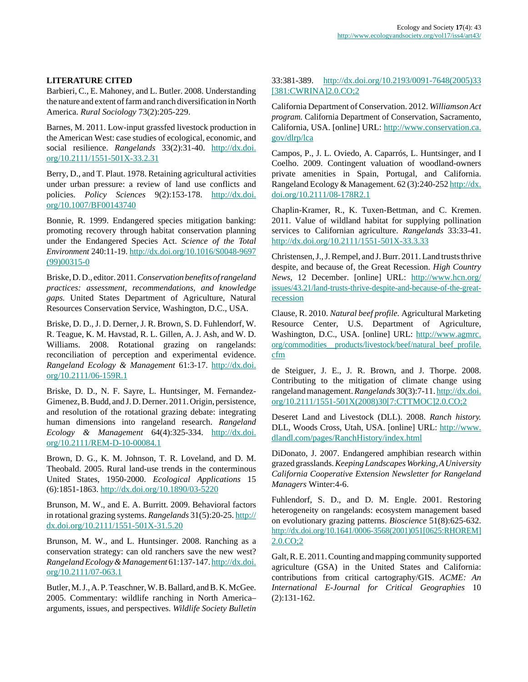# **LITERATURE CITED**

Barbieri, C., E. Mahoney, and L. Butler. 2008. Understanding the nature and extent of farm and ranch diversification in North America. *Rural Sociology* 73(2):205-229.

Barnes, M. 2011. Low-input grassfed livestock production in the American West: case studies of ecological, economic, and social resilience. *Rangelands* 33(2):31-40. [http://dx.doi.](http://dx.doi.org/10.2111/1551-501X-33.2.31) [org/10.2111/1551-501X-33.2.31](http://dx.doi.org/10.2111/1551-501X-33.2.31)

Berry, D., and T. Plaut. 1978. Retaining agricultural activities under urban pressure: a review of land use conflicts and policies. *Policy Sciences* 9(2):153-178. [http://dx.doi.](http://dx.doi.org/10.1007/BF00143740) [org/10.1007/BF00143740](http://dx.doi.org/10.1007/BF00143740)

Bonnie, R. 1999. Endangered species mitigation banking: promoting recovery through habitat conservation planning under the Endangered Species Act. *Science of the Total Environment* 240:11-19. [http://dx.doi.org/10.1016/S0048-9697](http://dx.doi.org/10.1016/S0048-9697(99)00315-0) [\(99\)00315-0](http://dx.doi.org/10.1016/S0048-9697(99)00315-0)

Briske, D. D., editor. 2011. *Conservation benefits of rangeland practices: assessment, recommendations, and knowledge gaps.* United States Department of Agriculture, Natural Resources Conservation Service, Washington, D.C., USA.

Briske, D. D., J. D. Derner, J. R. Brown, S. D. Fuhlendorf, W. R. Teague, K. M. Havstad, R. L. Gillen, A. J. Ash, and W. D. Williams. 2008. Rotational grazing on rangelands: reconciliation of perception and experimental evidence. *Rangeland Ecology & Management* 61:3-17. [http://dx.doi.](http://dx.doi.org/10.2111/06-159R.1) [org/10.2111/06-159R.1](http://dx.doi.org/10.2111/06-159R.1)

Briske, D. D., N. F. Sayre, L. Huntsinger, M. Fernandez-Gimenez, B. Budd, and J. D. Derner. 2011. Origin, persistence, and resolution of the rotational grazing debate: integrating human dimensions into rangeland research. *Rangeland Ecology & Management* 64(4):325-334. [http://dx.doi.](http://dx.doi.org/10.2111/REM-D-10-00084.1) [org/10.2111/REM-D-10-00084.1](http://dx.doi.org/10.2111/REM-D-10-00084.1)

Brown, D. G., K. M. Johnson, T. R. Loveland, and D. M. Theobald. 2005. Rural land-use trends in the conterminous United States, 1950-2000. *Ecological Applications* 15 (6):1851-1863. <http://dx.doi.org/10.1890/03-5220>

Brunson, M. W., and E. A. Burritt. 2009. Behavioral factors in rotational grazing systems. *Rangelands* 31(5):20-25. [http://](http://dx.doi.org/10.2111/1551-501X-31.5.20) [dx.doi.org/10.2111/1551-501X-31.5.20](http://dx.doi.org/10.2111/1551-501X-31.5.20)

Brunson, M. W., and L. Huntsinger. 2008. Ranching as a conservation strategy: can old ranchers save the new west? *Rangeland Ecology & Management* 61:137-147. [http://dx.doi.](http://dx.doi.org/10.2111/07-063.1) [org/10.2111/07-063.1](http://dx.doi.org/10.2111/07-063.1)

Butler, M. J., A. P. Teaschner, W. B. Ballard, and B. K. McGee. 2005. Commentary: wildlife ranching in North America– arguments, issues, and perspectives. *Wildlife Society Bulletin*

# 33:381-389. [http://dx.doi.org/10.2193/0091-7648\(2005\)33](http://dx.doi.org/10.2193/0091-7648(2005)33[381:CWRINA]2.0.CO;2) [\[381:CWRINA\]2.0.CO;2](http://dx.doi.org/10.2193/0091-7648(2005)33[381:CWRINA]2.0.CO;2)

California Department of Conservation. 2012. *Williamson Act program.* California Department of Conservation, Sacramento, California, USA. [online] URL: [http://www.conservation.ca.](http://www.conservation.ca.gov/dlrp/lca) [gov/dlrp/lca](http://www.conservation.ca.gov/dlrp/lca)

Campos, P., J. L. Oviedo, A. Caparrós, L. Huntsinger, and I Coelho. 2009. Contingent valuation of woodland-owners private amenities in Spain, Portugal, and California. Rangeland Ecology & Management. 62 (3):240-252 [http://dx.](http://dx.doi.org/10.2111/08-178R2.1) [doi.org/10.2111/08-178R2.1](http://dx.doi.org/10.2111/08-178R2.1)

Chaplin-Kramer, R., K. Tuxen-Bettman, and C. Kremen. 2011. Value of wildland habitat for supplying pollination services to Californian agriculture. *Rangelands* 33:33-41. <http://dx.doi.org/10.2111/1551-501X-33.3.33>

Christensen, J., J. Rempel, and J. Burr. 2011. Land trusts thrive despite, and because of, the Great Recession. *High Country News,* 12 December. [online] URL: [http://www.hcn.org/](http://www.hcn.org/issues/43.21/land-trusts-thrive-despite-and-because-of-the-great-recession) [issues/43.21/land-trusts-thrive-despite-and-because-of-the-great](http://www.hcn.org/issues/43.21/land-trusts-thrive-despite-and-because-of-the-great-recession)[recession](http://www.hcn.org/issues/43.21/land-trusts-thrive-despite-and-because-of-the-great-recession)

Clause, R. 2010. *Natural beef profile.* Agricultural Marketing Resource Center, U.S. Department of Agriculture, Washington, D.C., USA. [online] URL: [http://www.agmrc.](http://www.agmrc.org/commodities__products/livestock/beef/natural_beef_profile.cfm) [org/commodities\\_\\_products/livestock/beef/natural\\_beef\\_profile.](http://www.agmrc.org/commodities__products/livestock/beef/natural_beef_profile.cfm) [cfm](http://www.agmrc.org/commodities__products/livestock/beef/natural_beef_profile.cfm) 

de Steiguer, J. E., J. R. Brown, and J. Thorpe. 2008. Contributing to the mitigation of climate change using rangeland management. *Rangelands* 30(3):7-11. [http://dx.doi.](http://dx.doi.org/10.2111/1551-501X(2008)30[7:CTTMOC]2.0.CO;2) [org/10.2111/1551-501X\(2008\)30\[7:CTTMOC\]2.0.CO;2](http://dx.doi.org/10.2111/1551-501X(2008)30[7:CTTMOC]2.0.CO;2)

Deseret Land and Livestock (DLL). 2008. *Ranch history.* DLL, Woods Cross, Utah, USA. [online] URL: [http://www.](http://www.dlandl.com/pages/RanchHistory/index.html) [dlandl.com/pages/RanchHistory/index.html](http://www.dlandl.com/pages/RanchHistory/index.html)

DiDonato, J. 2007. Endangered amphibian research within grazed grasslands. *Keeping Landscapes Working, A University California Cooperative Extension Newsletter for Rangeland Managers* Winter:4-6.

Fuhlendorf, S. D., and D. M. Engle. 2001. Restoring heterogeneity on rangelands: ecosystem management based on evolutionary grazing patterns. *Bioscience* 51(8):625-632. [http://dx.doi.org/10.1641/0006-3568\(2001\)051\[0625:RHOREM\]](http://dx.doi.org/10.1641/0006-3568(2001)051[0625:RHOREM]2.0.CO;2) [2.0.CO;2](http://dx.doi.org/10.1641/0006-3568(2001)051[0625:RHOREM]2.0.CO;2)

Galt, R. E. 2011. Counting and mapping community supported agriculture (GSA) in the United States and California: contributions from critical cartography/GIS. *ACME: An International E-Journal for Critical Geographies* 10 (2):131-162.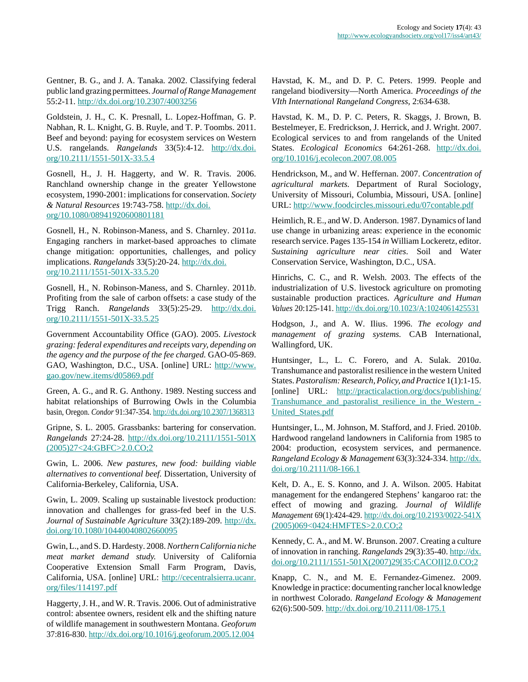Gentner, B. G., and J. A. Tanaka. 2002. Classifying federal public land grazing permittees. *Journal of Range Management* 55:2-11.<http://dx.doi.org/10.2307/4003256>

Goldstein, J. H., C. K. Presnall, L. Lopez-Hoffman, G. P. Nabhan, R. L. Knight, G. B. Ruyle, and T. P. Toombs. 2011. Beef and beyond: paying for ecosystem services on Western U.S. rangelands. *Rangelands* 33(5):4-12. [http://dx.doi.](http://dx.doi.org/10.2111/1551-501X-33.5.4) [org/10.2111/1551-501X-33.5.4](http://dx.doi.org/10.2111/1551-501X-33.5.4)

Gosnell, H., J. H. Haggerty, and W. R. Travis. 2006. Ranchland ownership change in the greater Yellowstone ecosystem, 1990-2001: implications for conservation. *Society & Natural Resources* 19:743-758. [http://dx.doi.](http://dx.doi.org/10.1080/08941920600801181) [org/10.1080/08941920600801181](http://dx.doi.org/10.1080/08941920600801181)

Gosnell, H., N. Robinson-Maness, and S. Charnley. 2011*a*. Engaging ranchers in market-based approaches to climate change mitigation: opportunities, challenges, and policy implications. *Rangelands* 33(5):20-24. [http://dx.doi.](http://dx.doi.org/10.2111/1551-501X-33.5.20) [org/10.2111/1551-501X-33.5.20](http://dx.doi.org/10.2111/1551-501X-33.5.20)

Gosnell, H., N. Robinson-Maness, and S. Charnley. 2011*b*. Profiting from the sale of carbon offsets: a case study of the Trigg Ranch. *Rangelands* 33(5):25-29. [http://dx.doi.](http://dx.doi.org/10.2111/1551-501X-33.5.25) [org/10.2111/1551-501X-33.5.25](http://dx.doi.org/10.2111/1551-501X-33.5.25)

Government Accountability Office (GAO). 2005. *Livestock grazing: federal expenditures and receipts vary, depending on the agency and the purpose of the fee charged.* GAO-05-869. GAO, Washington, D.C., USA. [online] URL: [http://www.](http://www.gao.gov/new.items/d05869.pdf) [gao.gov/new.items/d05869.pdf](http://www.gao.gov/new.items/d05869.pdf)

Green, A. G., and R. G. Anthony. 1989. Nesting success and habitat relationships of Burrowing Owls in the Columbia basin, Oregon. *Condor* 91:347-354.<http://dx.doi.org/10.2307/1368313>

Gripne, S. L. 2005. Grassbanks: bartering for conservation. *Rangelands* 27:24-28. [http://dx.doi.org/10.2111/1551-501X](http://dx.doi.org/10.2111/1551-501X(2005)27<24:GBFC>2.0.CO;2) [\(2005\)27<24:GBFC>2.0.CO;2](http://dx.doi.org/10.2111/1551-501X(2005)27<24:GBFC>2.0.CO;2)

Gwin, L. 2006. *New pastures, new food: building viable alternatives to conventional beef.* Dissertation, University of California-Berkeley, California, USA.

Gwin, L. 2009. Scaling up sustainable livestock production: innovation and challenges for grass-fed beef in the U.S. *Journal of Sustainable Agriculture* 33(2):189-209. [http://dx.](http://dx.doi.org/10.1080/10440040802660095) [doi.org/10.1080/10440040802660095](http://dx.doi.org/10.1080/10440040802660095)

Gwin, L., and S. D. Hardesty. 2008. *Northern California niche meat market demand study.* University of California Cooperative Extension Small Farm Program, Davis, California, USA. [online] URL: [http://cecentralsierra.ucanr.](http://cecentralsierra.ucanr.org/files/114197.pdf) [org/files/114197.pdf](http://cecentralsierra.ucanr.org/files/114197.pdf)

Haggerty, J. H., and W. R. Travis. 2006. Out of administrative control: absentee owners, resident elk and the shifting nature of wildlife management in southwestern Montana. *Geoforum* 37:816-830.<http://dx.doi.org/10.1016/j.geoforum.2005.12.004>

Havstad, K. M., and D. P. C. Peters. 1999. People and rangeland biodiversity—North America. *Proceedings of the VIth International Rangeland Congress,* 2:634-638.

Havstad, K. M., D. P. C. Peters, R. Skaggs, J. Brown, B. Bestelmeyer, E. Fredrickson, J. Herrick, and J. Wright. 2007. Ecological services to and from rangelands of the United States. *Ecological Economics* 64:261-268. [http://dx.doi.](http://dx.doi.org/10.1016/j.ecolecon.2007.08.005) [org/10.1016/j.ecolecon.2007.08.005](http://dx.doi.org/10.1016/j.ecolecon.2007.08.005)

Hendrickson, M., and W. Heffernan. 2007. *Concentration of agricultural markets.* Department of Rural Sociology, University of Missouri, Columbia, Missouri, USA. [online] URL:<http://www.foodcircles.missouri.edu/07contable.pdf>

Heimlich, R. E., and W. D. Anderson. 1987. Dynamics of land use change in urbanizing areas: experience in the economic research service. Pages 135-154 *in* William Lockeretz, editor. *Sustaining agriculture near cities*. Soil and Water Conservation Service, Washington, D.C., USA.

Hinrichs, C. C., and R. Welsh. 2003. The effects of the industrialization of U.S. livestock agriculture on promoting sustainable production practices. *Agriculture and Human Values* 20:125-141.<http://dx.doi.org/10.1023/A:1024061425531>

Hodgson, J., and A. W. Ilius. 1996. *The ecology and management of grazing systems.* CAB International, Wallingford, UK.

Huntsinger, L., L. C. Forero, and A. Sulak. 2010*a*. Transhumance and pastoralist resilience in the western United States. *Pastoralism: Research, Policy, and Practice* 1(1):1-15. [online] URL: [http://practicalaction.org/docs/publishing/](http://practicalaction.org/docs/publishing/Transhumance_and_pastoralist_resilience_in_the_Western_United_States.pdf) [Transhumance\\_and\\_pastoralist\\_resilience\\_in\\_the\\_Western\\_-](http://practicalaction.org/docs/publishing/Transhumance_and_pastoralist_resilience_in_the_Western_United_States.pdf) [United\\_States.pdf](http://practicalaction.org/docs/publishing/Transhumance_and_pastoralist_resilience_in_the_Western_United_States.pdf)

Huntsinger, L., M. Johnson, M. Stafford, and J. Fried. 2010*b*. Hardwood rangeland landowners in California from 1985 to 2004: production, ecosystem services, and permanence. *Rangeland Ecology & Management* 63(3):324-334. [http://dx.](http://dx.doi.org/10.2111/08-166.1) [doi.org/10.2111/08-166.1](http://dx.doi.org/10.2111/08-166.1)

Kelt, D. A., E. S. Konno, and J. A. Wilson. 2005. Habitat management for the endangered Stephens' kangaroo rat: the effect of mowing and grazing. *Journal of Wildlife Management* 69(1):424-429. [http://dx.doi.org/10.2193/0022-541X](http://dx.doi.org/10.2193/0022-541X(2005)069<0424:HMFTES>2.0.CO;2) [\(2005\)069<0424:HMFTES>2.0.CO;2](http://dx.doi.org/10.2193/0022-541X(2005)069<0424:HMFTES>2.0.CO;2)

Kennedy, C. A., and M. W. Brunson. 2007. Creating a culture of innovation in ranching. *Rangelands* 29(3):35-40. [http://dx.](http://dx.doi.org/10.2111/1551-501X(2007)29[35:CACOII]2.0.CO;2) [doi.org/10.2111/1551-501X\(2007\)29\[35:CACOII\]2.0.CO;2](http://dx.doi.org/10.2111/1551-501X(2007)29[35:CACOII]2.0.CO;2)

Knapp, C. N., and M. E. Fernandez-Gimenez. 2009. Knowledge in practice: documenting rancher local knowledge in northwest Colorado. *Rangeland Ecology & Management* 62(6):500-509. <http://dx.doi.org/10.2111/08-175.1>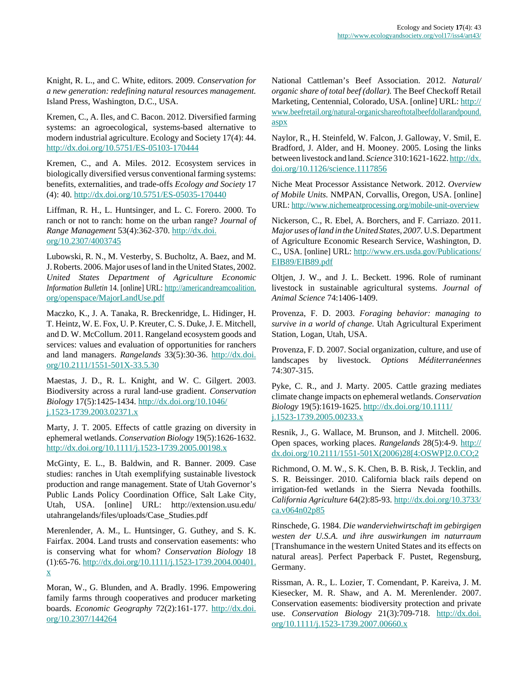Knight, R. L., and C. White, editors. 2009. *Conservation for a new generation: redefining natural resources management.* Island Press, Washington, D.C., USA.

Kremen, C., A. Iles, and C. Bacon. 2012. Diversified farming systems: an agroecological, systems-based alternative to modern industrial agriculture. Ecology and Society 17(4): 44. <http://dx.doi.org/10.5751/ES-05103-170444>

Kremen, C., and A. Miles. 2012. Ecosystem services in biologically diversified versus conventional farming systems: benefits, externalities, and trade-offs *Ecology and Society* 17 (4): 40. <http://dx.doi.org/10.5751/ES-05035-170440>

Liffman, R. H., L. Huntsinger, and L. C. Forero. 2000. To ranch or not to ranch: home on the urban range? *Journal of Range Management* 53(4):362-370. [http://dx.doi.](http://dx.doi.org/10.2307/4003745) [org/10.2307/4003745](http://dx.doi.org/10.2307/4003745)

Lubowski, R. N., M. Vesterby, S. Bucholtz, A. Baez, and M. J. Roberts. 2006. Major uses of land in the United States, 2002. *United States Department of Agriculture Economic Information Bulletin* 14. [online] URL: [http://americandreamcoalition.](http://americandreamcoalition.org/openspace/MajorLandUse.pdf) [org/openspace/MajorLandUse.pdf](http://americandreamcoalition.org/openspace/MajorLandUse.pdf)

Maczko, K., J. A. Tanaka, R. Breckenridge, L. Hidinger, H. T. Heintz, W. E. Fox, U. P. Kreuter, C. S. Duke, J. E. Mitchell, and D. W. McCollum. 2011. Rangeland ecosystem goods and services: values and evaluation of opportunities for ranchers and land managers. *Rangelands* 33(5):30-36. [http://dx.doi.](http://dx.doi.org/10.2111/1551-501X-33.5.30) [org/10.2111/1551-501X-33.5.30](http://dx.doi.org/10.2111/1551-501X-33.5.30)

Maestas, J. D., R. L. Knight, and W. C. Gilgert. 2003. Biodiversity across a rural land-use gradient. *Conservation Biology* 17(5):1425-1434. [http://dx.doi.org/10.1046/](http://dx.doi.org/10.1046/j.1523-1739.2003.02371.x) [j.1523-1739.2003.02371.x](http://dx.doi.org/10.1046/j.1523-1739.2003.02371.x)

Marty, J. T. 2005. Effects of cattle grazing on diversity in ephemeral wetlands. *Conservation Biology* 19(5):1626-1632. <http://dx.doi.org/10.1111/j.1523-1739.2005.00198.x>

McGinty, E. L., B. Baldwin, and R. Banner. 2009. Case studies: ranches in Utah exemplifying sustainable livestock production and range management. State of Utah Governor's Public Lands Policy Coordination Office, Salt Lake City, Utah, USA. [online] URL: http://extension.usu.edu/ utahrangelands/files/uploads/Case\_Studies.pdf

Merenlender, A. M., L. Huntsinger, G. Guthey, and S. K. Fairfax. 2004. Land trusts and conservation easements: who is conserving what for whom? *Conservation Biology* 18 (1):65-76. [http://dx.doi.org/10.1111/j.1523-1739.2004.00401.](http://dx.doi.org/10.1111/j.1523-1739.2004.00401.x) [x](http://dx.doi.org/10.1111/j.1523-1739.2004.00401.x)

Moran, W., G. Blunden, and A. Bradly. 1996. Empowering family farms through cooperatives and producer marketing boards. *Economic Geography* 72(2):161-177. [http://dx.doi.](http://dx.doi.org/10.2307/144264) [org/10.2307/144264](http://dx.doi.org/10.2307/144264)

National Cattleman's Beef Association. 2012. *Natural/ organic share of total beef (dollar).* The Beef Checkoff Retail Marketing, Centennial, Colorado, USA. [online] URL: [http://](http://www.beefretail.org/natural-organicshareoftotalbeefdollarandpound.aspx) [www.beefretail.org/natural-organicshareoftotalbeefdollarandpound.](http://www.beefretail.org/natural-organicshareoftotalbeefdollarandpound.aspx) [aspx](http://www.beefretail.org/natural-organicshareoftotalbeefdollarandpound.aspx)

Naylor, R., H. Steinfeld, W. Falcon, J. Galloway, V. Smil, E. Bradford, J. Alder, and H. Mooney. 2005. Losing the links between livestock and land. *Science* 310:1621-1622. [http://dx.](http://dx.doi.org/10.1126/science.1117856) [doi.org/10.1126/science.1117856](http://dx.doi.org/10.1126/science.1117856)

Niche Meat Processor Assistance Network. 2012. *Overview of Mobile Units.* NMPAN, Corvallis, Oregon, USA. [online] URL:<http://www.nichemeatprocessing.org/mobile-unit-overview>

Nickerson, C., R. Ebel, A. Borchers, and F. Carriazo. 2011. *Major uses of land in the United States, 2007.* U.S. Department of Agriculture Economic Research Service, Washington, D. C., USA. [online] URL: [http://www.ers.usda.gov/Publications/](http://www.ers.usda.gov/Publications/EIB89/EIB89.pdf) [EIB89/EIB89.pdf](http://www.ers.usda.gov/Publications/EIB89/EIB89.pdf)

Oltjen, J. W., and J. L. Beckett. 1996. Role of ruminant livestock in sustainable agricultural systems. *Journal of Animal Science* 74:1406-1409.

Provenza, F. D. 2003. *Foraging behavior: managing to survive in a world of change.* Utah Agricultural Experiment Station, Logan, Utah, USA.

Provenza, F. D. 2007. Social organization, culture, and use of landscapes by livestock. *Options Méditerranéennes* 74:307-315.

Pyke, C. R., and J. Marty. 2005. Cattle grazing mediates climate change impacts on ephemeral wetlands. *Conservation Biology* 19(5):1619-1625. [http://dx.doi.org/10.1111/](http://dx.doi.org/10.1111/j.1523-1739.2005.00233.x) [j.1523-1739.2005.00233.x](http://dx.doi.org/10.1111/j.1523-1739.2005.00233.x)

Resnik, J., G. Wallace, M. Brunson, and J. Mitchell. 2006. Open spaces, working places. *Rangelands* 28(5):4-9. [http://](http://dx.doi.org/10.2111/1551-501X(2006)28[4:OSWP]2.0.CO;2) [dx.doi.org/10.2111/1551-501X\(2006\)28\[4:OSWP\]2.0.CO;2](http://dx.doi.org/10.2111/1551-501X(2006)28[4:OSWP]2.0.CO;2)

Richmond, O. M. W., S. K. Chen, B. B. Risk, J. Tecklin, and S. R. Beissinger. 2010. California black rails depend on irrigation-fed wetlands in the Sierra Nevada foothills. *California Agriculture* 64(2):85-93. [http://dx.doi.org/10.3733/](http://dx.doi.org/10.3733/ca.v064n02p85) [ca.v064n02p85](http://dx.doi.org/10.3733/ca.v064n02p85)

Rinschede, G. 1984. *Die wanderviehwirtschaft im gebirgigen westen der U.S.A. und ihre auswirkungen im naturraum* [Transhumance in the western United States and its effects on natural areas]. Perfect Paperback F. Pustet, Regensburg, Germany.

Rissman, A. R., L. Lozier, T. Comendant, P. Kareiva, J. M. Kiesecker, M. R. Shaw, and A. M. Merenlender. 2007. Conservation easements: biodiversity protection and private use. *Conservation Biology* 21(3):709-718. [http://dx.doi.](http://dx.doi.org/10.1111/j.1523-1739.2007.00660.x) [org/10.1111/j.1523-1739.2007.00660.x](http://dx.doi.org/10.1111/j.1523-1739.2007.00660.x)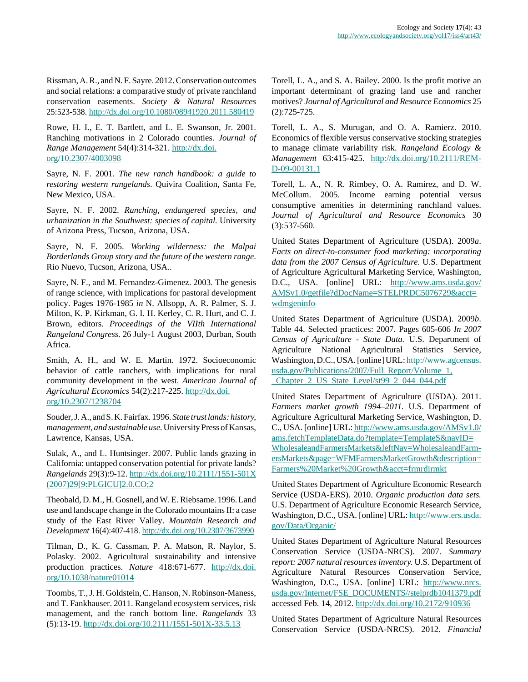Rissman, A. R., and N. F. Sayre. 2012. Conservation outcomes and social relations: a comparative study of private ranchland conservation easements. *Society & Natural Resources* 25:523-538.<http://dx.doi.org/10.1080/08941920.2011.580419>

Rowe, H. I., E. T. Bartlett, and L. E. Swanson, Jr. 2001. Ranching motivations in 2 Colorado counties. *Journal of Range Management* 54(4):314-321. [http://dx.doi.](http://dx.doi.org/10.2307/4003098) [org/10.2307/4003098](http://dx.doi.org/10.2307/4003098)

Sayre, N. F. 2001. *The new ranch handbook: a guide to restoring western rangelands*. Quivira Coalition, Santa Fe, New Mexico, USA.

Sayre, N. F. 2002. *Ranching, endangered species, and urbanization in the Southwest: species of capital.* University of Arizona Press, Tucson, Arizona, USA.

Sayre, N. F. 2005. *Working wilderness: the Malpai Borderlands Group story and the future of the western range*. Rio Nuevo, Tucson, Arizona, USA..

Sayre, N. F., and M. Fernandez-Gimenez. 2003. The genesis of range science, with implications for pastoral development policy. Pages 1976-1985 *in* N. Allsopp, A. R. Palmer, S. J. Milton, K. P. Kirkman, G. I. H. Kerley, C. R. Hurt, and C. J. Brown, editors. *Proceedings of the VIIth International Rangeland Congress.* 26 July-1 August 2003, Durban, South Africa.

Smith, A. H., and W. E. Martin. 1972. Socioeconomic behavior of cattle ranchers, with implications for rural community development in the west. *American Journal of Agricultural Economics* 54(2):217-225. [http://dx.doi.](http://dx.doi.org/10.2307/1238704) [org/10.2307/1238704](http://dx.doi.org/10.2307/1238704)

Souder, J. A., and S. K. Fairfax. 1996. *State trust lands: history, management, and sustainable use.* University Press of Kansas, Lawrence, Kansas, USA.

Sulak, A., and L. Huntsinger. 2007. Public lands grazing in California: untapped conservation potential for private lands? *Rangelands* 29(3):9-12. [http://dx.doi.org/10.2111/1551-501X](http://dx.doi.org/10.2111/1551-501X(2007)29[9:PLGICU]2.0.CO;2) [\(2007\)29\[9:PLGICU\]2.0.CO;2](http://dx.doi.org/10.2111/1551-501X(2007)29[9:PLGICU]2.0.CO;2)

Theobald, D. M., H. Gosnell, and W. E. Riebsame. 1996. Land use and landscape change in the Colorado mountains II: a case study of the East River Valley. *Mountain Research and Development* 16(4):407-418. <http://dx.doi.org/10.2307/3673990>

Tilman, D., K. G. Cassman, P. A. Matson, R. Naylor, S. Polasky. 2002. Agricultural sustainability and intensive production practices. *Nature* 418:671-677. [http://dx.doi.](http://dx.doi.org/10.1038/nature01014) [org/10.1038/nature01014](http://dx.doi.org/10.1038/nature01014)

Toombs, T., J. H. Goldstein, C. Hanson, N. Robinson-Maness, and T. Fankhauser. 2011. Rangeland ecosystem services, risk management, and the ranch bottom line. *Rangelands* 33 (5):13-19. <http://dx.doi.org/10.2111/1551-501X-33.5.13>

Torell, L. A., and S. A. Bailey. 2000. Is the profit motive an important determinant of grazing land use and rancher motives? *Journal of Agricultural and Resource Economics* 25 (2):725-725.

Torell, L. A., S. Murugan, and O. A. Ramierz. 2010. Economics of flexible versus conservative stocking strategies to manage climate variability risk. *Rangeland Ecology & Management* 63:415-425. [http://dx.doi.org/10.2111/REM-](http://dx.doi.org/10.2111/REM-D-09-00131.1)[D-09-00131.1](http://dx.doi.org/10.2111/REM-D-09-00131.1)

Torell, L. A., N. R. Rimbey, O. A. Ramirez, and D. W. McCollum. 2005. Income earning potential versus consumptive amenities in determining ranchland values. *Journal of Agricultural and Resource Economics* 30 (3):537-560.

United States Department of Agriculture (USDA). 2009*a*. *Facts on direct-to-consumer food marketing: incorporating data from the 2007 Census of Agriculture*. U.S. Department of Agriculture Agricultural Marketing Service, Washington, D.C., USA. [online] URL: [http://www.ams.usda.gov/](http://www.ams.usda.gov/AMSv1.0/getfile?dDocName=STELPRDC5076729&acct=wdmgeninfo) [AMSv1.0/getfile?dDocName=STELPRDC5076729&acct=](http://www.ams.usda.gov/AMSv1.0/getfile?dDocName=STELPRDC5076729&acct=wdmgeninfo) [wdmgeninfo](http://www.ams.usda.gov/AMSv1.0/getfile?dDocName=STELPRDC5076729&acct=wdmgeninfo)

United States Department of Agriculture (USDA). 2009*b*. Table 44. Selected practices: 2007. Pages 605-606 *In 2007 Census of Agriculture - State Data.* U.S. Department of Agriculture National Agricultural Statistics Service, Washington, D.C., USA. [online] URL: [http://www.agcensus.](http://www.agcensus.usda.gov/Publications/2007/Full_Report/Volume_1,_Chapter_2_US_State_Level/st99_2_044_044.pdf) [usda.gov/Publications/2007/Full\\_Report/Volume\\_1,](http://www.agcensus.usda.gov/Publications/2007/Full_Report/Volume_1,_Chapter_2_US_State_Level/st99_2_044_044.pdf) [\\_Chapter\\_2\\_US\\_State\\_Level/st99\\_2\\_044\\_044.pdf](http://www.agcensus.usda.gov/Publications/2007/Full_Report/Volume_1,_Chapter_2_US_State_Level/st99_2_044_044.pdf)

United States Department of Agriculture (USDA). 2011. *Farmers market growth 1994–2011.* U.S. Department of Agriculture Agricultural Marketing Service, Washington, D. C., USA. [online] URL: [http://www.ams.usda.gov/AMSv1.0/](http://www.ams.usda.gov/AMSv1.0/ams.fetchTemplateData.do?template=TemplateS&navID=WholesaleandFarmersMarkets&leftNav=WholesaleandFarmersMarkets&page=WFMFarmersMarketGrowth&description=Farmers%20Market%20Growth&acct=frmrdirmkt) [ams.fetchTemplateData.do?template=TemplateS&navID=](http://www.ams.usda.gov/AMSv1.0/ams.fetchTemplateData.do?template=TemplateS&navID=WholesaleandFarmersMarkets&leftNav=WholesaleandFarmersMarkets&page=WFMFarmersMarketGrowth&description=Farmers%20Market%20Growth&acct=frmrdirmkt) [WholesaleandFarmersMarkets&leftNav=WholesaleandFarm](http://www.ams.usda.gov/AMSv1.0/ams.fetchTemplateData.do?template=TemplateS&navID=WholesaleandFarmersMarkets&leftNav=WholesaleandFarmersMarkets&page=WFMFarmersMarketGrowth&description=Farmers%20Market%20Growth&acct=frmrdirmkt)[ersMarkets&page=WFMFarmersMarketGrowth&description=](http://www.ams.usda.gov/AMSv1.0/ams.fetchTemplateData.do?template=TemplateS&navID=WholesaleandFarmersMarkets&leftNav=WholesaleandFarmersMarkets&page=WFMFarmersMarketGrowth&description=Farmers%20Market%20Growth&acct=frmrdirmkt) [Farmers%20Market%20Growth&acct=frmrdirmkt](http://www.ams.usda.gov/AMSv1.0/ams.fetchTemplateData.do?template=TemplateS&navID=WholesaleandFarmersMarkets&leftNav=WholesaleandFarmersMarkets&page=WFMFarmersMarketGrowth&description=Farmers%20Market%20Growth&acct=frmrdirmkt)

United States Department of Agriculture Economic Research Service (USDA-ERS). 2010. *Organic production data sets.* U.S. Department of Agriculture Economic Research Service, Washington, D.C., USA. [online] URL: [http://www.ers.usda.](http://www.ers.usda.gov/Data/Organic/) [gov/Data/Organic/](http://www.ers.usda.gov/Data/Organic/)

United States Department of Agriculture Natural Resources Conservation Service (USDA-NRCS). 2007. *Summary report: 2007 natural resources inventory.* U.S. Department of Agriculture Natural Resources Conservation Service, Washington, D.C., USA. [online] URL: [http://www.nrcs.](http://www.nrcs.usda.gov/Internet/FSE_DOCUMENTS//stelprdb1041379.pdf) [usda.gov/Internet/FSE\\_DOCUMENTS//stelprdb1041379.pdf](http://www.nrcs.usda.gov/Internet/FSE_DOCUMENTS//stelprdb1041379.pdf) accessed Feb. 14, 2012.<http://dx.doi.org/10.2172/910936>

United States Department of Agriculture Natural Resources Conservation Service (USDA-NRCS). 2012. *Financial*